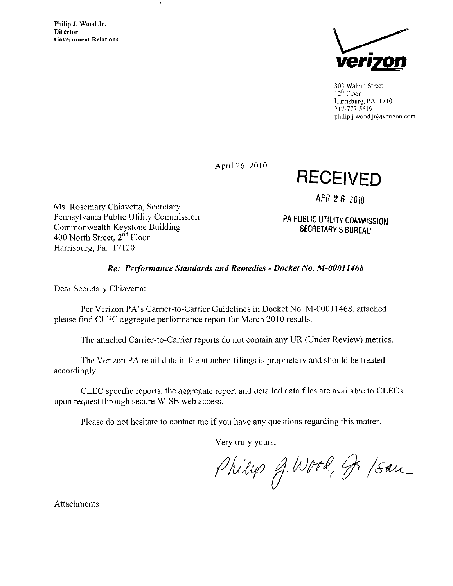Philip J. Wood Jr. **Director** Government Relations



303 Walnut Street 12<sup>th</sup> Floor Harrisburg. PA 1710! 717-777-5619 [philip.j.wood.jr@verizon.com](mailto:philip.j.wood.jr@verizon.com) 

April 26, 2010

RECEIVED

APR 2 6 2010

PA PUBLIC UTILITY COMMISSION SECRETARY'S BUREAU

Ms. Rosemary Chiavetta, Secretary Pennsylvania Public Utility Commission Commonwealth Keystone Building 400 North Street,  $2<sup>nd</sup>$  Floor Harrisburg, Pa. 17120

 $\tau_{\rm L}$ 

# Re: Performance Standards and Remedies - Docket No. M-00011468

Dear Secretary Chiavetta:

Per Verizon PA's Carrier-to-Carrier Guidelines in Docket No. M-00011468, attached please find CLEC aggregate performance report for March 2010 results.

The attached Carrier-to-Carrier reports do not contain any UR (Under Review) metrics.

The Verizon PA retail data in the attached filings is proprietary and should be treated accordingly.

CLEC specific reports, the aggregate report and detailed data files are available to CLECs upon request through secure WISE web access.

Please do not hesitate to contact me if you have any questions regarding this matter.

Very truly yours,

Philip J. Wood, Jr. /San

Attachments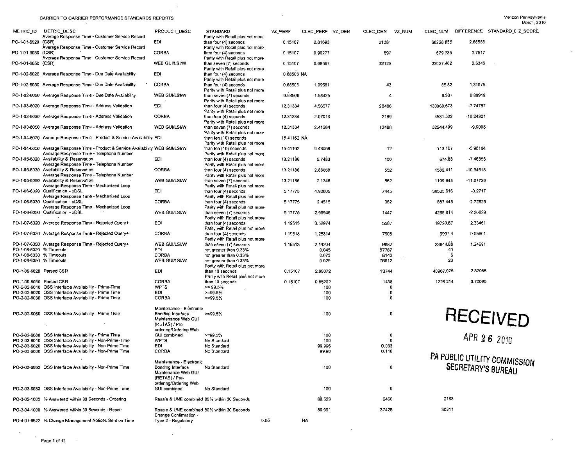$\bar{u}$  $\mathcal{L}$ 

 $\sim$ 

 $\mathcal{L}^{\pm}$ 

 $\sim$ 

| PO-1-01-6020 (CSR)<br>EDI<br>2.66586<br>than four (4) seconds<br>0.15107<br>2.81693<br>21381<br>60228.835<br>Average Response Time - Customer Service Record<br>Parity with Retail plus not more<br>PO-1-01-6030 (CSR)<br><b>CORBA</b><br>0.7517<br>than four (4) seconds<br>0.15107<br>0.90277<br>697<br>629.235<br>Average Response Time - Customer Service Record<br>Parity with Retail plus not more<br>0.5346<br>PO-1-01-6050 (CSR)<br>WEB GUI/LSI/W<br>0.15107<br>32125<br>22027.462<br>than seven (7) seconds<br>0.68567<br>Parity with Retail plus not more<br>PO-1-02-6020 Average Response Time - Due Date Availability<br>EDI<br>0.68506 NA<br>than four (4) seconds<br>Parity with Retail plus not more<br>PO-1-02-6030 Average Response Time - Due Date Availability<br><b>CORBA</b><br>85.82<br>1.31075<br>than four (4) seconds<br>0.68506<br>1.99581<br>43<br>Parity with Retail plus not more<br>0.68506<br>6.337<br>0.89919<br>PO-1-02-6050 Average Response Time - Due Date Availability<br>WEB GUI/LSI/W<br>than seven (7) seconds<br>1.58425<br>4<br>Parity with Retail plus not more<br>PO-1-03-6020 Average Response Time - Address Validation<br>EDI<br>-7.74757<br>than four (4) seconds<br>12.31334<br>4.56577<br>28486<br>130060.673<br>Parity with Retail plus not more<br>CORBA<br>4531.523<br>-10.24321<br>PO-1-03-6030 Average Response Time - Address Validation<br>12.31334<br>2189<br>than four (4) seconds<br>2.07013<br>Parity with Retail plus not more<br>PO-1-03-6050 Average Response Time - Address Validation<br>WEB GUI/LSI/W<br>13488<br>32544.499<br>$-9.9005$<br>than seven (7) seconds<br>12.31334<br>2.41284<br>Parity with Retail plus not more<br>PO-1-04-6020 Average Response Time - Product & Service Availability EDI<br>15.41162 NA<br>than ten (10) seconds<br>Parity with Retail plus not more<br>PO-1-04-6050 Average Response Time - Product & Service Availability WEB GUI/LSI/W<br>$-5.98104$<br>than ten (10) seconds<br>15.41162<br>9.43058<br>12 <sub>2</sub><br>113.167<br>Average Response Time - Telephone Number<br>Parity with Retail plus not more<br>PO-1-05-6020 Availability & Reservation<br>EDI<br>574.83<br>-7.46356<br>than four (4) seconds<br>13.21186<br>5.7483<br>100<br>Average Response Time - Telephone Number<br>Parity with Retail plus not more<br>PO-1-05-6030 Availability & Reservation<br><b>CORBA</b><br>1582.411<br>$-10.34518$<br>than four (4) seconds<br>13.21186<br>2.86668<br>552<br>Average Response Time - Telephone Number<br>Parity with Retail plus not more<br>PO-1-05-6050 Availability & Reservation<br>WEB GUI/LSI/W<br>1199.648<br>-11.07726<br>than seven (7) seconds<br>13.21186<br>2.1346<br>562<br>Average Response Time - Mechanized Loop<br>Parity with Retail plus not more<br>EDI<br>PO-1-06-6020 Qualification - xDSL<br>than four (4) seconds<br>36525.616<br>$-0.2717$<br>5.17775<br>4.90605<br>7445<br>Average Response Time - Mechanized Loop<br>Parity with Retail plus not more<br>PO-1-06-6030 Qualification - xDSL<br>CORBA<br>887 445<br>$-2.72625$<br>than four (4) seconds<br>5.17775<br>2.4515<br>362<br>Average Response Time - Mechanized Loop<br>Parity with Retail plus not more<br>PO-1-06-6050 Qualification - xDSL<br>WEB GUI/LSI/W<br>$-2.20829$<br>4296.814<br>than seven (7) seconds<br>5.17775<br>2.96946<br>1447<br>Parity with Retail plus not more<br>PO-1-07-6020 Average Response Time - Rejected Query+<br>EDI.<br>2.33461<br>than four (4) seconds<br>3.52974<br>5587<br>19720.67<br>1.19513<br>Parity with Retail plus not more<br>PO-1-07-6030 Average Response Time - Rejected Query+<br><b>CORBA</b><br>9907.4<br>0.05801<br>than four (4) seconds<br>1.19513<br>1.25314<br>7906<br>Parity with Retail plus not more<br>23643.88<br>PO-1-07-6050 Average Response Time - Rejected Query+<br>WEB GUI/LSI/W<br>than seven (7) seconds<br>2.44204<br>9682<br>1.24691<br>1.19513<br>PO-1-08-6020 % Timeouts<br>EDI.<br>40<br>not greater than 0.33%<br>0.045<br>87787<br>PO-1-08-6030 % Timeouts<br><b>CORBA</b><br>not greater than 0.33%<br>-6<br>0.073<br>8140<br>PO-1-08-6050 % Timeouts<br>23<br>WEB GUI/LSI/W<br>not greater than 0.33%<br>0.029<br>76912<br>Parity with Retail plus not more<br>PO-1-09-6020 Parsed CSR<br>EDI<br>40967.075<br>2.82965<br>0.15107<br>2.98072<br>13744<br>than 10 seconds<br>Parity with Retail plus not more<br><b>CORBA</b><br>1225.214<br>0.70095<br>PO-1-09-6030 Parsed CSR<br>0.85202<br>1438<br>than 10 seconds<br>0.15107<br>PO-2-02-6010 OSS Interface Availability - Prime-Time<br><b>WPTS</b><br>$>= 99.5%$<br>100<br>0<br>PO-2-02-6020 OSS Interface Availability - Prime Time<br>EDI<br>$>=99.5%$<br>100<br>0<br>PO-2-02-6030 OSS Interface Availability - Prime Time<br><b>CORBA</b><br>>=99.5%<br>100<br>$\mathbf 0$<br>Maintenance - Eléctronic<br><b>RECEIVED</b><br>$\mathbf 0$<br>PO-2-02-6060 OSS Interface Availability - Prime Time<br>Bonding Interface<br>100<br>>=99.5%<br>Maintenance Web GUI<br>(RETAS) / Pre-<br>ordering/Ordering Web<br>APR 26 2010<br><b>GUI combined</b><br>$\circ$<br>PO-2-02-6080 OSS Interface Availability - Prime Time<br>$>= 99.5%$<br>100<br><b>WPTS</b><br>$\mathbf 0$<br>PO-2-03-6010 OSS Interface Availability - Non-Prime-Time<br>No Standard<br>100<br>PO-2-03-6020 OSS Interface Availability - Non-Prime Time<br>ED!<br>0.033<br>No Standard<br>99.996<br>PO-2-03-6030 OSS Interface Availability - Non-Prime Time<br>CORBA<br>No Standard<br>99.98<br>0.116<br>PA PUBLIC UTILITY COMMISSION<br>Maintenance - Electronic<br>SECRETARY'S BUREAU<br>$\mathbf 0$<br>PO-2-03-6060 OSS Interface Availability - Non-Prime Time<br>Bonding Interface<br>No Standard<br>100<br>Maintenance Web GUI<br>(RETAS) / Pre-<br>ordering/Ordering Web<br>PO-2-03-6080 OSS Interface Availability - Non-Prime Time<br>$\overline{\mathbf{0}}$<br>GUI combined<br>No Standard<br>100<br>2183<br>PO-3-02-1000 % Answered within 30 Seconds - Ordering<br>88.523<br>2466<br>Resale & UNE combined 80% within 30 Seconds<br>30311<br>80.991<br>37425<br>PO-3-04-1000 % Answered within 30 Seconds - Repair<br>Resale & UNE combined 80% within 30 Seconds<br>Change Confirmation -<br>PO-4-01-6622 % Change Management Notices Sent on Time<br>Type 2 - Regulatory<br>0.95<br><b>NA</b> | <b>METRIC_ID</b> | METRIC_DESC                                     | PRODUCT DESC | <b>STANDARD</b>                  | VZ PERF | CLEC_PERF VZ_DEN | CLEC DEN | VZ_NUM |  | CLEC_NUM DIFFERENCE STANDARD_I Z_SCORE |
|----------------------------------------------------------------------------------------------------------------------------------------------------------------------------------------------------------------------------------------------------------------------------------------------------------------------------------------------------------------------------------------------------------------------------------------------------------------------------------------------------------------------------------------------------------------------------------------------------------------------------------------------------------------------------------------------------------------------------------------------------------------------------------------------------------------------------------------------------------------------------------------------------------------------------------------------------------------------------------------------------------------------------------------------------------------------------------------------------------------------------------------------------------------------------------------------------------------------------------------------------------------------------------------------------------------------------------------------------------------------------------------------------------------------------------------------------------------------------------------------------------------------------------------------------------------------------------------------------------------------------------------------------------------------------------------------------------------------------------------------------------------------------------------------------------------------------------------------------------------------------------------------------------------------------------------------------------------------------------------------------------------------------------------------------------------------------------------------------------------------------------------------------------------------------------------------------------------------------------------------------------------------------------------------------------------------------------------------------------------------------------------------------------------------------------------------------------------------------------------------------------------------------------------------------------------------------------------------------------------------------------------------------------------------------------------------------------------------------------------------------------------------------------------------------------------------------------------------------------------------------------------------------------------------------------------------------------------------------------------------------------------------------------------------------------------------------------------------------------------------------------------------------------------------------------------------------------------------------------------------------------------------------------------------------------------------------------------------------------------------------------------------------------------------------------------------------------------------------------------------------------------------------------------------------------------------------------------------------------------------------------------------------------------------------------------------------------------------------------------------------------------------------------------------------------------------------------------------------------------------------------------------------------------------------------------------------------------------------------------------------------------------------------------------------------------------------------------------------------------------------------------------------------------------------------------------------------------------------------------------------------------------------------------------------------------------------------------------------------------------------------------------------------------------------------------------------------------------------------------------------------------------------------------------------------------------------------------------------------------------------------------------------------------------------------------------------------------------------------------------------------------------------------------------------------------------------------------------------------------------------------------------------------------------------------------------------------------------------------------------------------------------------------------------------------------------------------------------------------------------------------------------------------------------------------------------------------------------------------------------------------------------------------------------------------------------------------------------------------------------------------------------------------------------------------------------------------------------------------------------------------------------------------------------------------------------------------------------------------------------------------------------------------------------------------------------------------------------------------------------------------------------------------------------------------------------------------------------------------------------------------------------------------------------------------------------------------------------------------------------------------------------------------------------------------------------------------------------------------------------------------------------------------------------------------------------------------------------------------------------------------------------------------------------------------------------------|------------------|-------------------------------------------------|--------------|----------------------------------|---------|------------------|----------|--------|--|----------------------------------------|
|                                                                                                                                                                                                                                                                                                                                                                                                                                                                                                                                                                                                                                                                                                                                                                                                                                                                                                                                                                                                                                                                                                                                                                                                                                                                                                                                                                                                                                                                                                                                                                                                                                                                                                                                                                                                                                                                                                                                                                                                                                                                                                                                                                                                                                                                                                                                                                                                                                                                                                                                                                                                                                                                                                                                                                                                                                                                                                                                                                                                                                                                                                                                                                                                                                                                                                                                                                                                                                                                                                                                                                                                                                                                                                                                                                                                                                                                                                                                                                                                                                                                                                                                                                                                                                                                                                                                                                                                                                                                                                                                                                                                                                                                                                                                                                                                                                                                                                                                                                                                                                                                                                                                                                                                                                                                                                                                                                                                                                                                                                                                                                                                                                                                                                                                                                                                                                                                                                                                                                                                                                                                                                                                                                                                                                                                                                                            |                  | Average Response Time - Customer Service Record |              | Parity with Retail plus not more |         |                  |          |        |  |                                        |
|                                                                                                                                                                                                                                                                                                                                                                                                                                                                                                                                                                                                                                                                                                                                                                                                                                                                                                                                                                                                                                                                                                                                                                                                                                                                                                                                                                                                                                                                                                                                                                                                                                                                                                                                                                                                                                                                                                                                                                                                                                                                                                                                                                                                                                                                                                                                                                                                                                                                                                                                                                                                                                                                                                                                                                                                                                                                                                                                                                                                                                                                                                                                                                                                                                                                                                                                                                                                                                                                                                                                                                                                                                                                                                                                                                                                                                                                                                                                                                                                                                                                                                                                                                                                                                                                                                                                                                                                                                                                                                                                                                                                                                                                                                                                                                                                                                                                                                                                                                                                                                                                                                                                                                                                                                                                                                                                                                                                                                                                                                                                                                                                                                                                                                                                                                                                                                                                                                                                                                                                                                                                                                                                                                                                                                                                                                                            |                  |                                                 |              |                                  |         |                  |          |        |  |                                        |
|                                                                                                                                                                                                                                                                                                                                                                                                                                                                                                                                                                                                                                                                                                                                                                                                                                                                                                                                                                                                                                                                                                                                                                                                                                                                                                                                                                                                                                                                                                                                                                                                                                                                                                                                                                                                                                                                                                                                                                                                                                                                                                                                                                                                                                                                                                                                                                                                                                                                                                                                                                                                                                                                                                                                                                                                                                                                                                                                                                                                                                                                                                                                                                                                                                                                                                                                                                                                                                                                                                                                                                                                                                                                                                                                                                                                                                                                                                                                                                                                                                                                                                                                                                                                                                                                                                                                                                                                                                                                                                                                                                                                                                                                                                                                                                                                                                                                                                                                                                                                                                                                                                                                                                                                                                                                                                                                                                                                                                                                                                                                                                                                                                                                                                                                                                                                                                                                                                                                                                                                                                                                                                                                                                                                                                                                                                                            |                  |                                                 |              |                                  |         |                  |          |        |  |                                        |
|                                                                                                                                                                                                                                                                                                                                                                                                                                                                                                                                                                                                                                                                                                                                                                                                                                                                                                                                                                                                                                                                                                                                                                                                                                                                                                                                                                                                                                                                                                                                                                                                                                                                                                                                                                                                                                                                                                                                                                                                                                                                                                                                                                                                                                                                                                                                                                                                                                                                                                                                                                                                                                                                                                                                                                                                                                                                                                                                                                                                                                                                                                                                                                                                                                                                                                                                                                                                                                                                                                                                                                                                                                                                                                                                                                                                                                                                                                                                                                                                                                                                                                                                                                                                                                                                                                                                                                                                                                                                                                                                                                                                                                                                                                                                                                                                                                                                                                                                                                                                                                                                                                                                                                                                                                                                                                                                                                                                                                                                                                                                                                                                                                                                                                                                                                                                                                                                                                                                                                                                                                                                                                                                                                                                                                                                                                                            |                  |                                                 |              |                                  |         |                  |          |        |  |                                        |
|                                                                                                                                                                                                                                                                                                                                                                                                                                                                                                                                                                                                                                                                                                                                                                                                                                                                                                                                                                                                                                                                                                                                                                                                                                                                                                                                                                                                                                                                                                                                                                                                                                                                                                                                                                                                                                                                                                                                                                                                                                                                                                                                                                                                                                                                                                                                                                                                                                                                                                                                                                                                                                                                                                                                                                                                                                                                                                                                                                                                                                                                                                                                                                                                                                                                                                                                                                                                                                                                                                                                                                                                                                                                                                                                                                                                                                                                                                                                                                                                                                                                                                                                                                                                                                                                                                                                                                                                                                                                                                                                                                                                                                                                                                                                                                                                                                                                                                                                                                                                                                                                                                                                                                                                                                                                                                                                                                                                                                                                                                                                                                                                                                                                                                                                                                                                                                                                                                                                                                                                                                                                                                                                                                                                                                                                                                                            |                  |                                                 |              |                                  |         |                  |          |        |  |                                        |
|                                                                                                                                                                                                                                                                                                                                                                                                                                                                                                                                                                                                                                                                                                                                                                                                                                                                                                                                                                                                                                                                                                                                                                                                                                                                                                                                                                                                                                                                                                                                                                                                                                                                                                                                                                                                                                                                                                                                                                                                                                                                                                                                                                                                                                                                                                                                                                                                                                                                                                                                                                                                                                                                                                                                                                                                                                                                                                                                                                                                                                                                                                                                                                                                                                                                                                                                                                                                                                                                                                                                                                                                                                                                                                                                                                                                                                                                                                                                                                                                                                                                                                                                                                                                                                                                                                                                                                                                                                                                                                                                                                                                                                                                                                                                                                                                                                                                                                                                                                                                                                                                                                                                                                                                                                                                                                                                                                                                                                                                                                                                                                                                                                                                                                                                                                                                                                                                                                                                                                                                                                                                                                                                                                                                                                                                                                                            |                  |                                                 |              |                                  |         |                  |          |        |  |                                        |
|                                                                                                                                                                                                                                                                                                                                                                                                                                                                                                                                                                                                                                                                                                                                                                                                                                                                                                                                                                                                                                                                                                                                                                                                                                                                                                                                                                                                                                                                                                                                                                                                                                                                                                                                                                                                                                                                                                                                                                                                                                                                                                                                                                                                                                                                                                                                                                                                                                                                                                                                                                                                                                                                                                                                                                                                                                                                                                                                                                                                                                                                                                                                                                                                                                                                                                                                                                                                                                                                                                                                                                                                                                                                                                                                                                                                                                                                                                                                                                                                                                                                                                                                                                                                                                                                                                                                                                                                                                                                                                                                                                                                                                                                                                                                                                                                                                                                                                                                                                                                                                                                                                                                                                                                                                                                                                                                                                                                                                                                                                                                                                                                                                                                                                                                                                                                                                                                                                                                                                                                                                                                                                                                                                                                                                                                                                                            |                  |                                                 |              |                                  |         |                  |          |        |  |                                        |
|                                                                                                                                                                                                                                                                                                                                                                                                                                                                                                                                                                                                                                                                                                                                                                                                                                                                                                                                                                                                                                                                                                                                                                                                                                                                                                                                                                                                                                                                                                                                                                                                                                                                                                                                                                                                                                                                                                                                                                                                                                                                                                                                                                                                                                                                                                                                                                                                                                                                                                                                                                                                                                                                                                                                                                                                                                                                                                                                                                                                                                                                                                                                                                                                                                                                                                                                                                                                                                                                                                                                                                                                                                                                                                                                                                                                                                                                                                                                                                                                                                                                                                                                                                                                                                                                                                                                                                                                                                                                                                                                                                                                                                                                                                                                                                                                                                                                                                                                                                                                                                                                                                                                                                                                                                                                                                                                                                                                                                                                                                                                                                                                                                                                                                                                                                                                                                                                                                                                                                                                                                                                                                                                                                                                                                                                                                                            |                  |                                                 |              |                                  |         |                  |          |        |  |                                        |
|                                                                                                                                                                                                                                                                                                                                                                                                                                                                                                                                                                                                                                                                                                                                                                                                                                                                                                                                                                                                                                                                                                                                                                                                                                                                                                                                                                                                                                                                                                                                                                                                                                                                                                                                                                                                                                                                                                                                                                                                                                                                                                                                                                                                                                                                                                                                                                                                                                                                                                                                                                                                                                                                                                                                                                                                                                                                                                                                                                                                                                                                                                                                                                                                                                                                                                                                                                                                                                                                                                                                                                                                                                                                                                                                                                                                                                                                                                                                                                                                                                                                                                                                                                                                                                                                                                                                                                                                                                                                                                                                                                                                                                                                                                                                                                                                                                                                                                                                                                                                                                                                                                                                                                                                                                                                                                                                                                                                                                                                                                                                                                                                                                                                                                                                                                                                                                                                                                                                                                                                                                                                                                                                                                                                                                                                                                                            |                  |                                                 |              |                                  |         |                  |          |        |  |                                        |
|                                                                                                                                                                                                                                                                                                                                                                                                                                                                                                                                                                                                                                                                                                                                                                                                                                                                                                                                                                                                                                                                                                                                                                                                                                                                                                                                                                                                                                                                                                                                                                                                                                                                                                                                                                                                                                                                                                                                                                                                                                                                                                                                                                                                                                                                                                                                                                                                                                                                                                                                                                                                                                                                                                                                                                                                                                                                                                                                                                                                                                                                                                                                                                                                                                                                                                                                                                                                                                                                                                                                                                                                                                                                                                                                                                                                                                                                                                                                                                                                                                                                                                                                                                                                                                                                                                                                                                                                                                                                                                                                                                                                                                                                                                                                                                                                                                                                                                                                                                                                                                                                                                                                                                                                                                                                                                                                                                                                                                                                                                                                                                                                                                                                                                                                                                                                                                                                                                                                                                                                                                                                                                                                                                                                                                                                                                                            |                  |                                                 |              |                                  |         |                  |          |        |  |                                        |
|                                                                                                                                                                                                                                                                                                                                                                                                                                                                                                                                                                                                                                                                                                                                                                                                                                                                                                                                                                                                                                                                                                                                                                                                                                                                                                                                                                                                                                                                                                                                                                                                                                                                                                                                                                                                                                                                                                                                                                                                                                                                                                                                                                                                                                                                                                                                                                                                                                                                                                                                                                                                                                                                                                                                                                                                                                                                                                                                                                                                                                                                                                                                                                                                                                                                                                                                                                                                                                                                                                                                                                                                                                                                                                                                                                                                                                                                                                                                                                                                                                                                                                                                                                                                                                                                                                                                                                                                                                                                                                                                                                                                                                                                                                                                                                                                                                                                                                                                                                                                                                                                                                                                                                                                                                                                                                                                                                                                                                                                                                                                                                                                                                                                                                                                                                                                                                                                                                                                                                                                                                                                                                                                                                                                                                                                                                                            |                  |                                                 |              |                                  |         |                  |          |        |  |                                        |
|                                                                                                                                                                                                                                                                                                                                                                                                                                                                                                                                                                                                                                                                                                                                                                                                                                                                                                                                                                                                                                                                                                                                                                                                                                                                                                                                                                                                                                                                                                                                                                                                                                                                                                                                                                                                                                                                                                                                                                                                                                                                                                                                                                                                                                                                                                                                                                                                                                                                                                                                                                                                                                                                                                                                                                                                                                                                                                                                                                                                                                                                                                                                                                                                                                                                                                                                                                                                                                                                                                                                                                                                                                                                                                                                                                                                                                                                                                                                                                                                                                                                                                                                                                                                                                                                                                                                                                                                                                                                                                                                                                                                                                                                                                                                                                                                                                                                                                                                                                                                                                                                                                                                                                                                                                                                                                                                                                                                                                                                                                                                                                                                                                                                                                                                                                                                                                                                                                                                                                                                                                                                                                                                                                                                                                                                                                                            |                  |                                                 |              |                                  |         |                  |          |        |  |                                        |
|                                                                                                                                                                                                                                                                                                                                                                                                                                                                                                                                                                                                                                                                                                                                                                                                                                                                                                                                                                                                                                                                                                                                                                                                                                                                                                                                                                                                                                                                                                                                                                                                                                                                                                                                                                                                                                                                                                                                                                                                                                                                                                                                                                                                                                                                                                                                                                                                                                                                                                                                                                                                                                                                                                                                                                                                                                                                                                                                                                                                                                                                                                                                                                                                                                                                                                                                                                                                                                                                                                                                                                                                                                                                                                                                                                                                                                                                                                                                                                                                                                                                                                                                                                                                                                                                                                                                                                                                                                                                                                                                                                                                                                                                                                                                                                                                                                                                                                                                                                                                                                                                                                                                                                                                                                                                                                                                                                                                                                                                                                                                                                                                                                                                                                                                                                                                                                                                                                                                                                                                                                                                                                                                                                                                                                                                                                                            |                  |                                                 |              |                                  |         |                  |          |        |  |                                        |
|                                                                                                                                                                                                                                                                                                                                                                                                                                                                                                                                                                                                                                                                                                                                                                                                                                                                                                                                                                                                                                                                                                                                                                                                                                                                                                                                                                                                                                                                                                                                                                                                                                                                                                                                                                                                                                                                                                                                                                                                                                                                                                                                                                                                                                                                                                                                                                                                                                                                                                                                                                                                                                                                                                                                                                                                                                                                                                                                                                                                                                                                                                                                                                                                                                                                                                                                                                                                                                                                                                                                                                                                                                                                                                                                                                                                                                                                                                                                                                                                                                                                                                                                                                                                                                                                                                                                                                                                                                                                                                                                                                                                                                                                                                                                                                                                                                                                                                                                                                                                                                                                                                                                                                                                                                                                                                                                                                                                                                                                                                                                                                                                                                                                                                                                                                                                                                                                                                                                                                                                                                                                                                                                                                                                                                                                                                                            |                  |                                                 |              |                                  |         |                  |          |        |  |                                        |
|                                                                                                                                                                                                                                                                                                                                                                                                                                                                                                                                                                                                                                                                                                                                                                                                                                                                                                                                                                                                                                                                                                                                                                                                                                                                                                                                                                                                                                                                                                                                                                                                                                                                                                                                                                                                                                                                                                                                                                                                                                                                                                                                                                                                                                                                                                                                                                                                                                                                                                                                                                                                                                                                                                                                                                                                                                                                                                                                                                                                                                                                                                                                                                                                                                                                                                                                                                                                                                                                                                                                                                                                                                                                                                                                                                                                                                                                                                                                                                                                                                                                                                                                                                                                                                                                                                                                                                                                                                                                                                                                                                                                                                                                                                                                                                                                                                                                                                                                                                                                                                                                                                                                                                                                                                                                                                                                                                                                                                                                                                                                                                                                                                                                                                                                                                                                                                                                                                                                                                                                                                                                                                                                                                                                                                                                                                                            |                  |                                                 |              |                                  |         |                  |          |        |  |                                        |
|                                                                                                                                                                                                                                                                                                                                                                                                                                                                                                                                                                                                                                                                                                                                                                                                                                                                                                                                                                                                                                                                                                                                                                                                                                                                                                                                                                                                                                                                                                                                                                                                                                                                                                                                                                                                                                                                                                                                                                                                                                                                                                                                                                                                                                                                                                                                                                                                                                                                                                                                                                                                                                                                                                                                                                                                                                                                                                                                                                                                                                                                                                                                                                                                                                                                                                                                                                                                                                                                                                                                                                                                                                                                                                                                                                                                                                                                                                                                                                                                                                                                                                                                                                                                                                                                                                                                                                                                                                                                                                                                                                                                                                                                                                                                                                                                                                                                                                                                                                                                                                                                                                                                                                                                                                                                                                                                                                                                                                                                                                                                                                                                                                                                                                                                                                                                                                                                                                                                                                                                                                                                                                                                                                                                                                                                                                                            |                  |                                                 |              |                                  |         |                  |          |        |  |                                        |
|                                                                                                                                                                                                                                                                                                                                                                                                                                                                                                                                                                                                                                                                                                                                                                                                                                                                                                                                                                                                                                                                                                                                                                                                                                                                                                                                                                                                                                                                                                                                                                                                                                                                                                                                                                                                                                                                                                                                                                                                                                                                                                                                                                                                                                                                                                                                                                                                                                                                                                                                                                                                                                                                                                                                                                                                                                                                                                                                                                                                                                                                                                                                                                                                                                                                                                                                                                                                                                                                                                                                                                                                                                                                                                                                                                                                                                                                                                                                                                                                                                                                                                                                                                                                                                                                                                                                                                                                                                                                                                                                                                                                                                                                                                                                                                                                                                                                                                                                                                                                                                                                                                                                                                                                                                                                                                                                                                                                                                                                                                                                                                                                                                                                                                                                                                                                                                                                                                                                                                                                                                                                                                                                                                                                                                                                                                                            |                  |                                                 |              |                                  |         |                  |          |        |  |                                        |
|                                                                                                                                                                                                                                                                                                                                                                                                                                                                                                                                                                                                                                                                                                                                                                                                                                                                                                                                                                                                                                                                                                                                                                                                                                                                                                                                                                                                                                                                                                                                                                                                                                                                                                                                                                                                                                                                                                                                                                                                                                                                                                                                                                                                                                                                                                                                                                                                                                                                                                                                                                                                                                                                                                                                                                                                                                                                                                                                                                                                                                                                                                                                                                                                                                                                                                                                                                                                                                                                                                                                                                                                                                                                                                                                                                                                                                                                                                                                                                                                                                                                                                                                                                                                                                                                                                                                                                                                                                                                                                                                                                                                                                                                                                                                                                                                                                                                                                                                                                                                                                                                                                                                                                                                                                                                                                                                                                                                                                                                                                                                                                                                                                                                                                                                                                                                                                                                                                                                                                                                                                                                                                                                                                                                                                                                                                                            |                  |                                                 |              |                                  |         |                  |          |        |  |                                        |
|                                                                                                                                                                                                                                                                                                                                                                                                                                                                                                                                                                                                                                                                                                                                                                                                                                                                                                                                                                                                                                                                                                                                                                                                                                                                                                                                                                                                                                                                                                                                                                                                                                                                                                                                                                                                                                                                                                                                                                                                                                                                                                                                                                                                                                                                                                                                                                                                                                                                                                                                                                                                                                                                                                                                                                                                                                                                                                                                                                                                                                                                                                                                                                                                                                                                                                                                                                                                                                                                                                                                                                                                                                                                                                                                                                                                                                                                                                                                                                                                                                                                                                                                                                                                                                                                                                                                                                                                                                                                                                                                                                                                                                                                                                                                                                                                                                                                                                                                                                                                                                                                                                                                                                                                                                                                                                                                                                                                                                                                                                                                                                                                                                                                                                                                                                                                                                                                                                                                                                                                                                                                                                                                                                                                                                                                                                                            |                  |                                                 |              |                                  |         |                  |          |        |  |                                        |
|                                                                                                                                                                                                                                                                                                                                                                                                                                                                                                                                                                                                                                                                                                                                                                                                                                                                                                                                                                                                                                                                                                                                                                                                                                                                                                                                                                                                                                                                                                                                                                                                                                                                                                                                                                                                                                                                                                                                                                                                                                                                                                                                                                                                                                                                                                                                                                                                                                                                                                                                                                                                                                                                                                                                                                                                                                                                                                                                                                                                                                                                                                                                                                                                                                                                                                                                                                                                                                                                                                                                                                                                                                                                                                                                                                                                                                                                                                                                                                                                                                                                                                                                                                                                                                                                                                                                                                                                                                                                                                                                                                                                                                                                                                                                                                                                                                                                                                                                                                                                                                                                                                                                                                                                                                                                                                                                                                                                                                                                                                                                                                                                                                                                                                                                                                                                                                                                                                                                                                                                                                                                                                                                                                                                                                                                                                                            |                  |                                                 |              |                                  |         |                  |          |        |  |                                        |
|                                                                                                                                                                                                                                                                                                                                                                                                                                                                                                                                                                                                                                                                                                                                                                                                                                                                                                                                                                                                                                                                                                                                                                                                                                                                                                                                                                                                                                                                                                                                                                                                                                                                                                                                                                                                                                                                                                                                                                                                                                                                                                                                                                                                                                                                                                                                                                                                                                                                                                                                                                                                                                                                                                                                                                                                                                                                                                                                                                                                                                                                                                                                                                                                                                                                                                                                                                                                                                                                                                                                                                                                                                                                                                                                                                                                                                                                                                                                                                                                                                                                                                                                                                                                                                                                                                                                                                                                                                                                                                                                                                                                                                                                                                                                                                                                                                                                                                                                                                                                                                                                                                                                                                                                                                                                                                                                                                                                                                                                                                                                                                                                                                                                                                                                                                                                                                                                                                                                                                                                                                                                                                                                                                                                                                                                                                                            |                  |                                                 |              |                                  |         |                  |          |        |  |                                        |
|                                                                                                                                                                                                                                                                                                                                                                                                                                                                                                                                                                                                                                                                                                                                                                                                                                                                                                                                                                                                                                                                                                                                                                                                                                                                                                                                                                                                                                                                                                                                                                                                                                                                                                                                                                                                                                                                                                                                                                                                                                                                                                                                                                                                                                                                                                                                                                                                                                                                                                                                                                                                                                                                                                                                                                                                                                                                                                                                                                                                                                                                                                                                                                                                                                                                                                                                                                                                                                                                                                                                                                                                                                                                                                                                                                                                                                                                                                                                                                                                                                                                                                                                                                                                                                                                                                                                                                                                                                                                                                                                                                                                                                                                                                                                                                                                                                                                                                                                                                                                                                                                                                                                                                                                                                                                                                                                                                                                                                                                                                                                                                                                                                                                                                                                                                                                                                                                                                                                                                                                                                                                                                                                                                                                                                                                                                                            |                  |                                                 |              |                                  |         |                  |          |        |  |                                        |
|                                                                                                                                                                                                                                                                                                                                                                                                                                                                                                                                                                                                                                                                                                                                                                                                                                                                                                                                                                                                                                                                                                                                                                                                                                                                                                                                                                                                                                                                                                                                                                                                                                                                                                                                                                                                                                                                                                                                                                                                                                                                                                                                                                                                                                                                                                                                                                                                                                                                                                                                                                                                                                                                                                                                                                                                                                                                                                                                                                                                                                                                                                                                                                                                                                                                                                                                                                                                                                                                                                                                                                                                                                                                                                                                                                                                                                                                                                                                                                                                                                                                                                                                                                                                                                                                                                                                                                                                                                                                                                                                                                                                                                                                                                                                                                                                                                                                                                                                                                                                                                                                                                                                                                                                                                                                                                                                                                                                                                                                                                                                                                                                                                                                                                                                                                                                                                                                                                                                                                                                                                                                                                                                                                                                                                                                                                                            |                  |                                                 |              |                                  |         |                  |          |        |  |                                        |
|                                                                                                                                                                                                                                                                                                                                                                                                                                                                                                                                                                                                                                                                                                                                                                                                                                                                                                                                                                                                                                                                                                                                                                                                                                                                                                                                                                                                                                                                                                                                                                                                                                                                                                                                                                                                                                                                                                                                                                                                                                                                                                                                                                                                                                                                                                                                                                                                                                                                                                                                                                                                                                                                                                                                                                                                                                                                                                                                                                                                                                                                                                                                                                                                                                                                                                                                                                                                                                                                                                                                                                                                                                                                                                                                                                                                                                                                                                                                                                                                                                                                                                                                                                                                                                                                                                                                                                                                                                                                                                                                                                                                                                                                                                                                                                                                                                                                                                                                                                                                                                                                                                                                                                                                                                                                                                                                                                                                                                                                                                                                                                                                                                                                                                                                                                                                                                                                                                                                                                                                                                                                                                                                                                                                                                                                                                                            |                  |                                                 |              |                                  |         |                  |          |        |  |                                        |
|                                                                                                                                                                                                                                                                                                                                                                                                                                                                                                                                                                                                                                                                                                                                                                                                                                                                                                                                                                                                                                                                                                                                                                                                                                                                                                                                                                                                                                                                                                                                                                                                                                                                                                                                                                                                                                                                                                                                                                                                                                                                                                                                                                                                                                                                                                                                                                                                                                                                                                                                                                                                                                                                                                                                                                                                                                                                                                                                                                                                                                                                                                                                                                                                                                                                                                                                                                                                                                                                                                                                                                                                                                                                                                                                                                                                                                                                                                                                                                                                                                                                                                                                                                                                                                                                                                                                                                                                                                                                                                                                                                                                                                                                                                                                                                                                                                                                                                                                                                                                                                                                                                                                                                                                                                                                                                                                                                                                                                                                                                                                                                                                                                                                                                                                                                                                                                                                                                                                                                                                                                                                                                                                                                                                                                                                                                                            |                  |                                                 |              |                                  |         |                  |          |        |  |                                        |
|                                                                                                                                                                                                                                                                                                                                                                                                                                                                                                                                                                                                                                                                                                                                                                                                                                                                                                                                                                                                                                                                                                                                                                                                                                                                                                                                                                                                                                                                                                                                                                                                                                                                                                                                                                                                                                                                                                                                                                                                                                                                                                                                                                                                                                                                                                                                                                                                                                                                                                                                                                                                                                                                                                                                                                                                                                                                                                                                                                                                                                                                                                                                                                                                                                                                                                                                                                                                                                                                                                                                                                                                                                                                                                                                                                                                                                                                                                                                                                                                                                                                                                                                                                                                                                                                                                                                                                                                                                                                                                                                                                                                                                                                                                                                                                                                                                                                                                                                                                                                                                                                                                                                                                                                                                                                                                                                                                                                                                                                                                                                                                                                                                                                                                                                                                                                                                                                                                                                                                                                                                                                                                                                                                                                                                                                                                                            |                  |                                                 |              |                                  |         |                  |          |        |  |                                        |
|                                                                                                                                                                                                                                                                                                                                                                                                                                                                                                                                                                                                                                                                                                                                                                                                                                                                                                                                                                                                                                                                                                                                                                                                                                                                                                                                                                                                                                                                                                                                                                                                                                                                                                                                                                                                                                                                                                                                                                                                                                                                                                                                                                                                                                                                                                                                                                                                                                                                                                                                                                                                                                                                                                                                                                                                                                                                                                                                                                                                                                                                                                                                                                                                                                                                                                                                                                                                                                                                                                                                                                                                                                                                                                                                                                                                                                                                                                                                                                                                                                                                                                                                                                                                                                                                                                                                                                                                                                                                                                                                                                                                                                                                                                                                                                                                                                                                                                                                                                                                                                                                                                                                                                                                                                                                                                                                                                                                                                                                                                                                                                                                                                                                                                                                                                                                                                                                                                                                                                                                                                                                                                                                                                                                                                                                                                                            |                  |                                                 |              |                                  |         |                  |          |        |  |                                        |
|                                                                                                                                                                                                                                                                                                                                                                                                                                                                                                                                                                                                                                                                                                                                                                                                                                                                                                                                                                                                                                                                                                                                                                                                                                                                                                                                                                                                                                                                                                                                                                                                                                                                                                                                                                                                                                                                                                                                                                                                                                                                                                                                                                                                                                                                                                                                                                                                                                                                                                                                                                                                                                                                                                                                                                                                                                                                                                                                                                                                                                                                                                                                                                                                                                                                                                                                                                                                                                                                                                                                                                                                                                                                                                                                                                                                                                                                                                                                                                                                                                                                                                                                                                                                                                                                                                                                                                                                                                                                                                                                                                                                                                                                                                                                                                                                                                                                                                                                                                                                                                                                                                                                                                                                                                                                                                                                                                                                                                                                                                                                                                                                                                                                                                                                                                                                                                                                                                                                                                                                                                                                                                                                                                                                                                                                                                                            |                  |                                                 |              |                                  |         |                  |          |        |  |                                        |
|                                                                                                                                                                                                                                                                                                                                                                                                                                                                                                                                                                                                                                                                                                                                                                                                                                                                                                                                                                                                                                                                                                                                                                                                                                                                                                                                                                                                                                                                                                                                                                                                                                                                                                                                                                                                                                                                                                                                                                                                                                                                                                                                                                                                                                                                                                                                                                                                                                                                                                                                                                                                                                                                                                                                                                                                                                                                                                                                                                                                                                                                                                                                                                                                                                                                                                                                                                                                                                                                                                                                                                                                                                                                                                                                                                                                                                                                                                                                                                                                                                                                                                                                                                                                                                                                                                                                                                                                                                                                                                                                                                                                                                                                                                                                                                                                                                                                                                                                                                                                                                                                                                                                                                                                                                                                                                                                                                                                                                                                                                                                                                                                                                                                                                                                                                                                                                                                                                                                                                                                                                                                                                                                                                                                                                                                                                                            |                  |                                                 |              |                                  |         |                  |          |        |  |                                        |
|                                                                                                                                                                                                                                                                                                                                                                                                                                                                                                                                                                                                                                                                                                                                                                                                                                                                                                                                                                                                                                                                                                                                                                                                                                                                                                                                                                                                                                                                                                                                                                                                                                                                                                                                                                                                                                                                                                                                                                                                                                                                                                                                                                                                                                                                                                                                                                                                                                                                                                                                                                                                                                                                                                                                                                                                                                                                                                                                                                                                                                                                                                                                                                                                                                                                                                                                                                                                                                                                                                                                                                                                                                                                                                                                                                                                                                                                                                                                                                                                                                                                                                                                                                                                                                                                                                                                                                                                                                                                                                                                                                                                                                                                                                                                                                                                                                                                                                                                                                                                                                                                                                                                                                                                                                                                                                                                                                                                                                                                                                                                                                                                                                                                                                                                                                                                                                                                                                                                                                                                                                                                                                                                                                                                                                                                                                                            |                  |                                                 |              |                                  |         |                  |          |        |  |                                        |
|                                                                                                                                                                                                                                                                                                                                                                                                                                                                                                                                                                                                                                                                                                                                                                                                                                                                                                                                                                                                                                                                                                                                                                                                                                                                                                                                                                                                                                                                                                                                                                                                                                                                                                                                                                                                                                                                                                                                                                                                                                                                                                                                                                                                                                                                                                                                                                                                                                                                                                                                                                                                                                                                                                                                                                                                                                                                                                                                                                                                                                                                                                                                                                                                                                                                                                                                                                                                                                                                                                                                                                                                                                                                                                                                                                                                                                                                                                                                                                                                                                                                                                                                                                                                                                                                                                                                                                                                                                                                                                                                                                                                                                                                                                                                                                                                                                                                                                                                                                                                                                                                                                                                                                                                                                                                                                                                                                                                                                                                                                                                                                                                                                                                                                                                                                                                                                                                                                                                                                                                                                                                                                                                                                                                                                                                                                                            |                  |                                                 |              |                                  |         |                  |          |        |  |                                        |
|                                                                                                                                                                                                                                                                                                                                                                                                                                                                                                                                                                                                                                                                                                                                                                                                                                                                                                                                                                                                                                                                                                                                                                                                                                                                                                                                                                                                                                                                                                                                                                                                                                                                                                                                                                                                                                                                                                                                                                                                                                                                                                                                                                                                                                                                                                                                                                                                                                                                                                                                                                                                                                                                                                                                                                                                                                                                                                                                                                                                                                                                                                                                                                                                                                                                                                                                                                                                                                                                                                                                                                                                                                                                                                                                                                                                                                                                                                                                                                                                                                                                                                                                                                                                                                                                                                                                                                                                                                                                                                                                                                                                                                                                                                                                                                                                                                                                                                                                                                                                                                                                                                                                                                                                                                                                                                                                                                                                                                                                                                                                                                                                                                                                                                                                                                                                                                                                                                                                                                                                                                                                                                                                                                                                                                                                                                                            |                  |                                                 |              |                                  |         |                  |          |        |  |                                        |
|                                                                                                                                                                                                                                                                                                                                                                                                                                                                                                                                                                                                                                                                                                                                                                                                                                                                                                                                                                                                                                                                                                                                                                                                                                                                                                                                                                                                                                                                                                                                                                                                                                                                                                                                                                                                                                                                                                                                                                                                                                                                                                                                                                                                                                                                                                                                                                                                                                                                                                                                                                                                                                                                                                                                                                                                                                                                                                                                                                                                                                                                                                                                                                                                                                                                                                                                                                                                                                                                                                                                                                                                                                                                                                                                                                                                                                                                                                                                                                                                                                                                                                                                                                                                                                                                                                                                                                                                                                                                                                                                                                                                                                                                                                                                                                                                                                                                                                                                                                                                                                                                                                                                                                                                                                                                                                                                                                                                                                                                                                                                                                                                                                                                                                                                                                                                                                                                                                                                                                                                                                                                                                                                                                                                                                                                                                                            |                  |                                                 |              |                                  |         |                  |          |        |  |                                        |
|                                                                                                                                                                                                                                                                                                                                                                                                                                                                                                                                                                                                                                                                                                                                                                                                                                                                                                                                                                                                                                                                                                                                                                                                                                                                                                                                                                                                                                                                                                                                                                                                                                                                                                                                                                                                                                                                                                                                                                                                                                                                                                                                                                                                                                                                                                                                                                                                                                                                                                                                                                                                                                                                                                                                                                                                                                                                                                                                                                                                                                                                                                                                                                                                                                                                                                                                                                                                                                                                                                                                                                                                                                                                                                                                                                                                                                                                                                                                                                                                                                                                                                                                                                                                                                                                                                                                                                                                                                                                                                                                                                                                                                                                                                                                                                                                                                                                                                                                                                                                                                                                                                                                                                                                                                                                                                                                                                                                                                                                                                                                                                                                                                                                                                                                                                                                                                                                                                                                                                                                                                                                                                                                                                                                                                                                                                                            |                  |                                                 |              |                                  |         |                  |          |        |  |                                        |
|                                                                                                                                                                                                                                                                                                                                                                                                                                                                                                                                                                                                                                                                                                                                                                                                                                                                                                                                                                                                                                                                                                                                                                                                                                                                                                                                                                                                                                                                                                                                                                                                                                                                                                                                                                                                                                                                                                                                                                                                                                                                                                                                                                                                                                                                                                                                                                                                                                                                                                                                                                                                                                                                                                                                                                                                                                                                                                                                                                                                                                                                                                                                                                                                                                                                                                                                                                                                                                                                                                                                                                                                                                                                                                                                                                                                                                                                                                                                                                                                                                                                                                                                                                                                                                                                                                                                                                                                                                                                                                                                                                                                                                                                                                                                                                                                                                                                                                                                                                                                                                                                                                                                                                                                                                                                                                                                                                                                                                                                                                                                                                                                                                                                                                                                                                                                                                                                                                                                                                                                                                                                                                                                                                                                                                                                                                                            |                  |                                                 |              |                                  |         |                  |          |        |  |                                        |
|                                                                                                                                                                                                                                                                                                                                                                                                                                                                                                                                                                                                                                                                                                                                                                                                                                                                                                                                                                                                                                                                                                                                                                                                                                                                                                                                                                                                                                                                                                                                                                                                                                                                                                                                                                                                                                                                                                                                                                                                                                                                                                                                                                                                                                                                                                                                                                                                                                                                                                                                                                                                                                                                                                                                                                                                                                                                                                                                                                                                                                                                                                                                                                                                                                                                                                                                                                                                                                                                                                                                                                                                                                                                                                                                                                                                                                                                                                                                                                                                                                                                                                                                                                                                                                                                                                                                                                                                                                                                                                                                                                                                                                                                                                                                                                                                                                                                                                                                                                                                                                                                                                                                                                                                                                                                                                                                                                                                                                                                                                                                                                                                                                                                                                                                                                                                                                                                                                                                                                                                                                                                                                                                                                                                                                                                                                                            |                  |                                                 |              |                                  |         |                  |          |        |  |                                        |
|                                                                                                                                                                                                                                                                                                                                                                                                                                                                                                                                                                                                                                                                                                                                                                                                                                                                                                                                                                                                                                                                                                                                                                                                                                                                                                                                                                                                                                                                                                                                                                                                                                                                                                                                                                                                                                                                                                                                                                                                                                                                                                                                                                                                                                                                                                                                                                                                                                                                                                                                                                                                                                                                                                                                                                                                                                                                                                                                                                                                                                                                                                                                                                                                                                                                                                                                                                                                                                                                                                                                                                                                                                                                                                                                                                                                                                                                                                                                                                                                                                                                                                                                                                                                                                                                                                                                                                                                                                                                                                                                                                                                                                                                                                                                                                                                                                                                                                                                                                                                                                                                                                                                                                                                                                                                                                                                                                                                                                                                                                                                                                                                                                                                                                                                                                                                                                                                                                                                                                                                                                                                                                                                                                                                                                                                                                                            |                  |                                                 |              |                                  |         |                  |          |        |  |                                        |
|                                                                                                                                                                                                                                                                                                                                                                                                                                                                                                                                                                                                                                                                                                                                                                                                                                                                                                                                                                                                                                                                                                                                                                                                                                                                                                                                                                                                                                                                                                                                                                                                                                                                                                                                                                                                                                                                                                                                                                                                                                                                                                                                                                                                                                                                                                                                                                                                                                                                                                                                                                                                                                                                                                                                                                                                                                                                                                                                                                                                                                                                                                                                                                                                                                                                                                                                                                                                                                                                                                                                                                                                                                                                                                                                                                                                                                                                                                                                                                                                                                                                                                                                                                                                                                                                                                                                                                                                                                                                                                                                                                                                                                                                                                                                                                                                                                                                                                                                                                                                                                                                                                                                                                                                                                                                                                                                                                                                                                                                                                                                                                                                                                                                                                                                                                                                                                                                                                                                                                                                                                                                                                                                                                                                                                                                                                                            |                  |                                                 |              |                                  |         |                  |          |        |  |                                        |
|                                                                                                                                                                                                                                                                                                                                                                                                                                                                                                                                                                                                                                                                                                                                                                                                                                                                                                                                                                                                                                                                                                                                                                                                                                                                                                                                                                                                                                                                                                                                                                                                                                                                                                                                                                                                                                                                                                                                                                                                                                                                                                                                                                                                                                                                                                                                                                                                                                                                                                                                                                                                                                                                                                                                                                                                                                                                                                                                                                                                                                                                                                                                                                                                                                                                                                                                                                                                                                                                                                                                                                                                                                                                                                                                                                                                                                                                                                                                                                                                                                                                                                                                                                                                                                                                                                                                                                                                                                                                                                                                                                                                                                                                                                                                                                                                                                                                                                                                                                                                                                                                                                                                                                                                                                                                                                                                                                                                                                                                                                                                                                                                                                                                                                                                                                                                                                                                                                                                                                                                                                                                                                                                                                                                                                                                                                                            |                  |                                                 |              |                                  |         |                  |          |        |  |                                        |
|                                                                                                                                                                                                                                                                                                                                                                                                                                                                                                                                                                                                                                                                                                                                                                                                                                                                                                                                                                                                                                                                                                                                                                                                                                                                                                                                                                                                                                                                                                                                                                                                                                                                                                                                                                                                                                                                                                                                                                                                                                                                                                                                                                                                                                                                                                                                                                                                                                                                                                                                                                                                                                                                                                                                                                                                                                                                                                                                                                                                                                                                                                                                                                                                                                                                                                                                                                                                                                                                                                                                                                                                                                                                                                                                                                                                                                                                                                                                                                                                                                                                                                                                                                                                                                                                                                                                                                                                                                                                                                                                                                                                                                                                                                                                                                                                                                                                                                                                                                                                                                                                                                                                                                                                                                                                                                                                                                                                                                                                                                                                                                                                                                                                                                                                                                                                                                                                                                                                                                                                                                                                                                                                                                                                                                                                                                                            |                  |                                                 |              |                                  |         |                  |          |        |  |                                        |

 $\sim$ 

 $\sim$ 

 $\sim$   $\sim$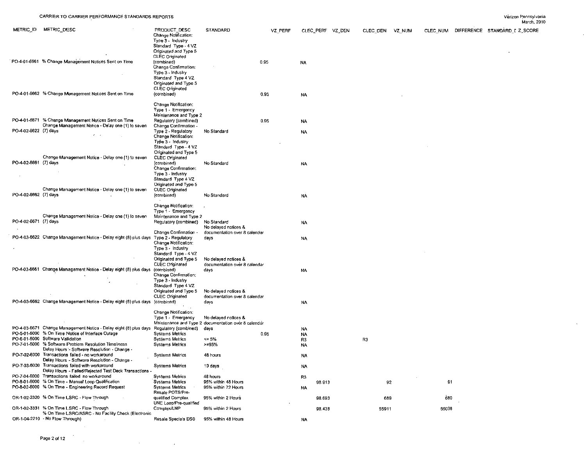$\mathcal{L}$ 

 $\sim 10^7$ 

|                       |                                                                                                                                                                                                                                           |                                                                                                                                                                                          |                                                                              |      |         |                            |        |                 |       |                                        | March, 2010 |
|-----------------------|-------------------------------------------------------------------------------------------------------------------------------------------------------------------------------------------------------------------------------------------|------------------------------------------------------------------------------------------------------------------------------------------------------------------------------------------|------------------------------------------------------------------------------|------|---------|----------------------------|--------|-----------------|-------|----------------------------------------|-------------|
| METRIC ID             | METRIC DESC                                                                                                                                                                                                                               | PRODUCT DESC<br>Change Notification:<br>Type 3 - Industry                                                                                                                                | <b>STANDARD</b>                                                              |      | VZ PERF | CLEC PERF VZ DEN           |        | CLEC DEN VZ NUM |       | CLEC NUM DIFFERENCE STANDARD I Z_SCORE |             |
|                       | PO-4-01-6661 % Change Management Notices Sent on Time                                                                                                                                                                                     | Standard Type - 4 VZ<br>Originated and Type 5<br>CLEC Originated<br>(combined)<br>Change Confirmation:<br>Type 3 - Industry<br>Standard Type 4 VZ<br>Originated and Type 5               |                                                                              | 0.95 |         | NA                         |        |                 |       |                                        |             |
|                       | PO-4-01-6662 % Change Management Notices Sent on Time                                                                                                                                                                                     | <b>CLEC</b> Originated<br>(combined)                                                                                                                                                     |                                                                              | 0.95 |         | NA                         |        |                 |       |                                        |             |
| PO-4-02-6622 (7) days | PO-4-01-6671 % Change Management Notices Sent on Time<br>Change Management Notice - Delay one (1) to seven                                                                                                                                | Change Notification:<br>Type 1 - Emergency<br>Maintenance and Type 2<br>Regulatory (combined)<br>Change Confirmation<br>Type 2 - Regulatory<br>Change Notification:<br>Type 3 - Industry | No Standard                                                                  | 0.95 |         | NA<br>NA                   |        |                 |       |                                        |             |
| PO-4-02-6661 (7) days | Change Management Notice - Delay one (1) to seven                                                                                                                                                                                         | Standard Type - 4 VZ<br>Originated and Type 5<br>CLEC Originated<br>(combined)<br>Change Confirmation:<br>Type 3 - Industry<br>Slandard Type 4 VZ<br>Originated and Type 5               | No Standard                                                                  |      |         | NA                         |        |                 |       |                                        |             |
| PO-4-02-6662 (7) days | Change Management Notice - Delay one (1) to seven                                                                                                                                                                                         | <b>CLEC</b> Originated<br>(combined)                                                                                                                                                     | No Standard                                                                  |      |         | <b>NA</b>                  |        |                 |       |                                        |             |
| PO-4-02-6671 (7) days | Change Management Notice - Delay one (1) to seven                                                                                                                                                                                         | Change Notification:<br>Type 1 - Emergency<br>Maintenance and Type 2<br>Regulatory (combined)                                                                                            | No Standard<br>No delayed notices &                                          |      |         | NA                         |        |                 |       |                                        |             |
|                       | PO-4-03-6622 Change Management Notice - Delay eight (8) plus days Type 2 - Regulatory                                                                                                                                                     | Change Confirmation -<br>Change Notification:<br>Type 3 - Industry                                                                                                                       | documentation over 8 calendar<br>days                                        |      |         | NA                         |        |                 |       |                                        |             |
|                       | PO-4-03-6661 Change Management Notice - Delay eight (8) plus days                                                                                                                                                                         | Standard Type - 4 VZ<br>Originated and Type 5<br><b>CLEC</b> Originated<br>(combined)<br>Change Confirmation:<br>Type 3 - Industry<br>Standard Type 4 VZ                                 | No delayed notices &<br>documentation over 8 calendar<br>days                |      |         | NA                         |        |                 |       |                                        |             |
|                       | PO-4-03-6662 Change Management Notice - Delay eight (8) plus days (combined)                                                                                                                                                              | Originated and Type 5<br><b>CLEC Originated</b>                                                                                                                                          | No delayed notices &<br>documentation over 8 calendar<br>days                |      |         | NA                         |        |                 |       |                                        |             |
|                       |                                                                                                                                                                                                                                           | Change Notification:<br>Type 1 - Emergency                                                                                                                                               | No delayed notices &<br>Maintenance and Type 2 documentation over 8 calendar |      |         |                            |        |                 |       |                                        |             |
|                       | PO-4-03-6671 Change Management Notice - Delay eight (8) plus days Regulatory (combined)<br>PO-5-01-6000 % On Time Notice of Interface Outage<br>PO-6-01-6000 Software Validation<br>PO-7-01-6000 % Software Problem Resolution Timeliness | <b>Systems Metrics</b><br><b>Systems Metrics</b><br><b>Systems Metrics</b>                                                                                                               | davs<br>$= 5%$<br>$>= 95%$                                                   | 0.95 |         | NA<br>NA<br>R <sub>3</sub> |        | R3              |       |                                        |             |
|                       | Delay Hours - Software Resolution - Change<br>PO-7-02-6000 Transactions failed - no workaround<br>Delay Hours - Software Resolution - Change -                                                                                            | <b>Systems Metrics</b>                                                                                                                                                                   | 48 hours                                                                     |      |         | <b>NA</b><br>NA            |        |                 |       |                                        |             |
|                       | PO-7-03-6000 Transactions failed with workaround<br>Delay Hours - Failed/Rejected Test Deck Transactions<br>PO-7-04-6000 Transactions failed no workaround                                                                                | <b>Systems Metrics</b><br><b>Systems Metrics</b>                                                                                                                                         | 10 days<br>48 hours                                                          |      |         | <b>NA</b>                  |        |                 |       |                                        |             |
|                       | PO-8-01-6000 % On Time - Manual Loop Qualification<br>PO-8-02-6000 % On Time - Engineering Record Request                                                                                                                                 | <b>Systems Metrics</b><br><b>Systems Metrics</b><br>Resale POTS/Pre-                                                                                                                     | 95% within 48 Hours<br>95% within 72 Hours                                   |      |         | R <sub>3</sub><br>NA       | 98.913 | 92              | 91    |                                        |             |
|                       | OR-1-02-2320 % On Time LSRC Flow Through                                                                                                                                                                                                  | qualified Complex<br>UNE Loop/Pre-qualified                                                                                                                                              | 95% within 2 Hours                                                           |      |         |                            | 98.693 | 689             | 680   |                                        |             |
|                       | OR-1-02-3331 % On Time LSRC - Flow Through<br>% On Time LSRC/ASRC - No Facility Check (Electronic                                                                                                                                         | Complex/LNP                                                                                                                                                                              | 95% within 2 Hours                                                           |      |         |                            | 98.438 | 55911           | 55038 |                                        |             |
|                       | OR-1-04-2210 - No Flow Through)                                                                                                                                                                                                           | Resale Specials DS0                                                                                                                                                                      | 95% within 48 Hours                                                          |      |         | NA                         |        |                 |       |                                        |             |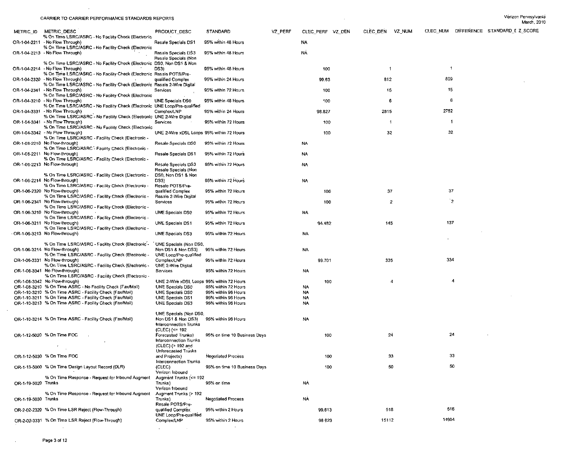$\sim 10^7$ 

| METRIC ID           | METRIC DESC                                                                                                        | PRODUCT DESC                                 | <b>STANDARD</b>                            | VZ_PERF | CLEC PERF VZ DEN | CLEC DEN VZ_NUM         |              | CLEC NUM DIFFERENCE STANDARD I Z_SCORE |  |
|---------------------|--------------------------------------------------------------------------------------------------------------------|----------------------------------------------|--------------------------------------------|---------|------------------|-------------------------|--------------|----------------------------------------|--|
|                     | % On Time LSRC/ASRC - No Facility Check (Electronic                                                                |                                              |                                            |         |                  |                         |              |                                        |  |
|                     | OR-1-04-2211 - No Flow Through)<br>% On Time LSRC/ASRC - No Facility Check (Electronic                             | Resale Specials DS1                          | 95% within 48 Hours                        |         | <b>NA</b>        |                         |              |                                        |  |
|                     | OR-1-04-2213 - No Flow Through)                                                                                    | Resale Specials DS3                          | 95% within 48 Hours                        |         | <b>NA</b>        |                         |              |                                        |  |
|                     |                                                                                                                    | Resale Specials (Non                         |                                            |         |                  |                         |              |                                        |  |
|                     | % On Time LSRC/ASRC - No Facility Check (Electronic DS0, Non DS1 & Non                                             |                                              |                                            |         |                  |                         |              |                                        |  |
|                     | OR-1-04-2214 - No Flow Through)                                                                                    | DS3)                                         | 95% within 48 Hours                        |         | 100              | $\overline{\mathbf{1}}$ | $\mathbf{1}$ |                                        |  |
|                     | % On Time LSRC/ASRC - No Facility Check (Electronic Resale POTS/Pre-<br>OR-1-04-2320 - No Flow Through)            | qualified Complex                            | 95% within 24 Hours                        |         | 99 63            | 812                     | 809          |                                        |  |
|                     | % On Time LSRC/ASRC - No Facility Check (Electronic Resale 2-Wire Digital                                          |                                              |                                            |         |                  |                         |              |                                        |  |
|                     | OR-1-04-2341 - No Flow Through)                                                                                    | Services                                     | 95% within 72 Hours                        |         | 100              | 15                      | 15           |                                        |  |
|                     | % On Time LSRC/ASRC - No Facility Check (Electronic                                                                |                                              |                                            |         |                  |                         |              |                                        |  |
|                     | OR-1-04-3210 - No Flow Through)<br>% On Time LSRC/ASRC - No Facility Check (Electronic UNE Loop/Pre-qualified      | UNE Specials DS0                             | 95% within 48 Hours                        |         | 100              | -6                      | 6            |                                        |  |
|                     | OR-1-04-3331 - No Flow Through)                                                                                    | Complex/LNP                                  | 95% within 24 Hours                        |         | 98.827           | 2815                    | 2782         |                                        |  |
|                     | % On Time LSRC/ASRC - No Facility Check (Electronic UNE 2-Wire Digital                                             |                                              |                                            |         |                  |                         |              |                                        |  |
|                     | OR-1-04-3341 - No Flow Through)                                                                                    | Services                                     | 95% within 72 Hours                        |         | 100              | $\blacktriangleleft$    | -1           |                                        |  |
|                     | % On Time LSRC/ASRC - No Facility Check (Electronic<br>OR-1-04-3342 - No Flow Through)                             |                                              |                                            |         |                  |                         | 32           |                                        |  |
|                     | % On Time LSRC/ASRC - Facility Check (Electronic -                                                                 | UNE 2-Wire xDSL Loops 95% within 72 Hours    |                                            |         | 100              | 32                      |              |                                        |  |
|                     | OR-1-06-2210 No Flow-through)                                                                                      | Resale Specials DS0                          | 95% within 72 Hours                        |         | <b>NA</b>        |                         |              |                                        |  |
|                     | % On Time LSRC/ASRC - Facility Check (Electronic -                                                                 |                                              |                                            |         |                  |                         |              |                                        |  |
|                     | OR-1-06-2211 No Flow-through)                                                                                      | Resale Specials DS1                          | 95% within 72 Hours                        |         | NA               |                         |              |                                        |  |
|                     | % On Time LSRC/ASRC - Facility Check (Electronic -<br>OR-1-06-2213 No Flow through)                                | Resale Specials DS3                          | 95% within 72 Hours                        |         | NA               |                         |              |                                        |  |
|                     |                                                                                                                    | Resale Specials (Non                         |                                            |         |                  |                         |              |                                        |  |
|                     | % On Time LSRC/ASRC - Facility Check (Electronic -                                                                 | DS0, Non DS1 & Non                           |                                            |         |                  |                         |              |                                        |  |
|                     | OR-1-06-2214 No Flow-through)                                                                                      | DS3)                                         | 95% within 72 Hours                        |         | NA               |                         |              |                                        |  |
|                     | % On Time LSRC/ASRC - Facility Check (Electronic -<br>OR-1-06-2320 No Flow-through)                                | Resale POTS/Pre-<br>qualified Complex        | 95% within 72 Hours                        |         | 100              | 37                      | 37           |                                        |  |
|                     | % On Time LSRC/ASRC - Facility Check (Electronic -                                                                 | Resale 2-Wire Digital                        |                                            |         |                  |                         |              |                                        |  |
|                     | OR-1-06-2341 No Flow-through)                                                                                      | Services                                     | 95% within 72 Hours                        |         | 100              | $\overline{2}$          | `2           |                                        |  |
|                     | % On Time LSRC/ASRC - Facility Check (Electronic -                                                                 |                                              |                                            |         |                  |                         |              |                                        |  |
|                     | OR-1-06-3210 No Flow-through)<br>% On Time LSRC/ASRC - Facility Check (Electronic -                                | UNE Specials DS0                             | 95% within 72 Hours                        |         | NA               |                         |              |                                        |  |
|                     | OR-1-06-3211 No Flow-through)                                                                                      | UNE Specials DS1                             | 95% within 72 Hours                        |         | 94.482           | 145                     | 137          |                                        |  |
|                     | % On Time LSRC/ASRC - Facility Check (Electronic -                                                                 |                                              |                                            |         |                  |                         |              |                                        |  |
|                     | OR-1-06-3213 No Flow-through)                                                                                      | <b>UNE Specials DS3</b>                      | 95% within 72 Hours                        |         | NA               |                         |              |                                        |  |
|                     |                                                                                                                    |                                              |                                            |         |                  |                         |              |                                        |  |
|                     | % On Time LSRC/ASRC - Facility Check (Electronic'-<br>OR-1-06-3214 No Flow-through)                                | UNE Specials (Non DS0,<br>Non DS1 & Non DS3) | 95% within 72 Hours                        |         | <b>NA</b>        |                         |              |                                        |  |
|                     | % On Time LSRC/ASRC - Facility Check (Electronic -                                                                 | UNE Loop/Pre-qualified                       |                                            |         |                  |                         |              |                                        |  |
|                     | OR-1-06-3331 No Flow-through)                                                                                      | Complex/LNP                                  | 95% within 72 Hours                        |         | 99.701           | 335                     | 334          |                                        |  |
|                     | % On Time LSRC/ASRC - Facility Check (Electronic -                                                                 | UNE 2-Wire Digital                           |                                            |         |                  |                         |              |                                        |  |
|                     | OR-1-06-3341 No Flow-through)<br>% On Time LSRC/ASRC - Facility Check (Electronic -                                | Services                                     | 95% within 72 Hours                        |         | NA               |                         |              |                                        |  |
|                     | OR-1-06-3342 No Flow through)                                                                                      | UNE 2-Wire xDSL Loops 95% within 72 Hours    |                                            |         | 100              | 4                       | 4            |                                        |  |
|                     | OR-1-08-3210 % On Time ASRC - No Facility Check (Fax/Mail)                                                         | UNE Specials DS0                             | 95% within 72 Hours                        |         | <b>NA</b>        |                         |              |                                        |  |
|                     | OR-1-10-3210 % On Time ASRC - Facility Check (Fax/Mail)                                                            | UNE Specials DS0                             | 95% within 96 Hours                        |         | <b>NA</b>        |                         |              |                                        |  |
|                     | OR-1-10-3211 % On Time ASRC - Facility Check (Fax/Mail)<br>OR-1-10-3213 % On Time ASRC - Facility Check (Fax/Mail) | UNE Specials DS1<br>UNE Specials DS3         | 95% within 96 Hours<br>95% within 96 Hours |         | NA<br>NA         |                         |              |                                        |  |
|                     |                                                                                                                    |                                              |                                            |         |                  |                         |              |                                        |  |
|                     |                                                                                                                    | UNE Specials (Non DS0,                       |                                            |         |                  |                         |              |                                        |  |
|                     | OR-1-10-3214 % On Time ASRC - Facility Check (Fax/Mail)                                                            | Non DS1 & Non DS3)                           | 95% within 96 Hours                        |         | <b>NA</b>        |                         |              |                                        |  |
|                     |                                                                                                                    | Interconnection Trunks                       |                                            |         |                  |                         |              |                                        |  |
|                     | OR-1-12-5020 % On Time FOC                                                                                         | (CLEC) (<= 192<br>Forecasted Trunks)         | 95% on time 10 Business Days               |         | 100              | 24                      | 24           |                                        |  |
|                     |                                                                                                                    | Interconnection Trunks                       |                                            |         |                  |                         |              |                                        |  |
|                     |                                                                                                                    | (CLEC) (> 192 and                            |                                            |         |                  |                         |              |                                        |  |
|                     | OR-1-12-5030 % On Time FOC                                                                                         | Unforecasted Trunks                          |                                            |         | 100              | 33                      | 33           |                                        |  |
|                     |                                                                                                                    | and Projects)<br>Interconnection Trunks      | <b>Negotiated Process</b>                  |         |                  |                         |              |                                        |  |
|                     | OR-1-13-5000 % On Time Design Layout Record (DLR)                                                                  | (CLEC)                                       | 95% on time 10 Business Days               |         | 100              | 50                      | 50           |                                        |  |
|                     |                                                                                                                    | Verizon Inbound                              |                                            |         |                  |                         |              |                                        |  |
|                     | % On Time Response - Request for Inbound Augment                                                                   | Augment Trunks (<= 192                       |                                            |         |                  |                         |              |                                        |  |
| OR-1-19-5020 Trunks |                                                                                                                    | Trunks)<br>Verizon Inbound                   | 95% on time                                |         | <b>NA</b>        |                         |              |                                        |  |
|                     | % On Time Response - Request for Inbound Augment                                                                   | Augment Trunks (> 192                        |                                            |         |                  |                         |              |                                        |  |
| OR-1-19-5030 Trunks |                                                                                                                    | Trunks)                                      | <b>Negotiated Process</b>                  |         | <b>NA</b>        |                         |              |                                        |  |
|                     |                                                                                                                    | Resale POTS/Pre-                             |                                            |         |                  |                         |              |                                        |  |
|                     | OR-2-02-2320 % On Time LSR Reject (Flow-Through)                                                                   | qualified Complex<br>UNE Loop/Pre-qualified  | 95% within 2 Hours                         |         | 99.613           | 518                     | 516          |                                        |  |
|                     | OR-2-02-3331 % On Time LSR Reject (Flow-Through)                                                                   | Complex/LNP                                  | 95% within 2 Hours                         |         | 98 623           | 15112                   | 14904        |                                        |  |
|                     |                                                                                                                    |                                              |                                            |         |                  |                         |              |                                        |  |
|                     |                                                                                                                    |                                              |                                            |         |                  |                         |              |                                        |  |

 $\mathcal{L}^{\text{max}}_{\text{max}}$  and  $\mathcal{L}^{\text{max}}_{\text{max}}$ 

 $\sim 10^{11}$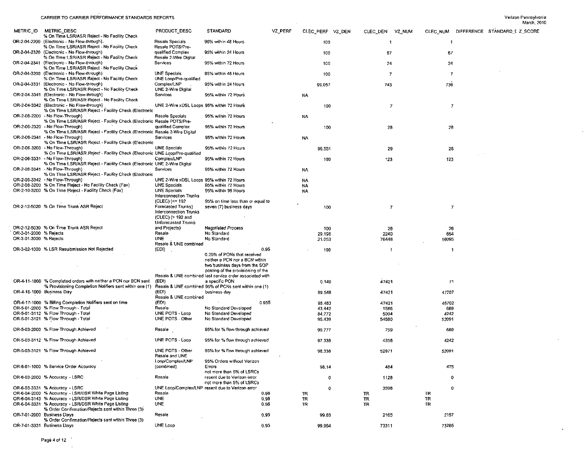$\mathcal{A}$ 

 $\sim 10$ 

 $\mathcal{L}$ 

 $\mathcal{A}$ 

 $\mathbf{v}$ 

|                        |                                                                                                                             |                                                                                                            |                                                                                                                                                                                                                     |              |                  |                     |          |                |                                        | March, 2010 |  |
|------------------------|-----------------------------------------------------------------------------------------------------------------------------|------------------------------------------------------------------------------------------------------------|---------------------------------------------------------------------------------------------------------------------------------------------------------------------------------------------------------------------|--------------|------------------|---------------------|----------|----------------|----------------------------------------|-------------|--|
| METRIC ID              | METRIC DESC<br>% On Time LSR/ASR Reject - No Facility Check                                                                 | PRODUCT_DESC                                                                                               | STANDARD                                                                                                                                                                                                            | VZ_PERF      | CLEC_PERF VZ_DEN | CLEC_DEN            | VZ NUM   |                | CLEC NUM DIFFERENCE STANDARD I Z SCORE |             |  |
|                        | OR-2-04-2200 (Electronic - No Flow-through).<br>% On Time LSR/ASR Reject - No Facility Check                                | Resale Specials<br>Resale POTS/Pre-                                                                        | 95% within 48 Hours                                                                                                                                                                                                 |              | 100              | $\mathbf{1}$        |          | $\overline{1}$ |                                        |             |  |
|                        | OR-2-04-2320 (Electronic - No Flow-through)<br>% On Time LSR/ASR Reject - No Facility Check                                 | qualified Complex<br>Resale 2-Wire Digital                                                                 | 95% within 24 Hours                                                                                                                                                                                                 |              | 100              | 67                  |          | 67             |                                        |             |  |
|                        | OR-2-04-2341 (Electronic - No Flow-through)<br>% On Time LSR/ASR Reject - No Facility Check                                 | Services                                                                                                   | 95% within 72 Hours                                                                                                                                                                                                 |              | 100              | 24                  |          | 24             |                                        |             |  |
|                        | OR-2-04-3200 (Electronic - No Flow-through)<br>% On Time LSR/ASR Reject - No Facility Check                                 | UNE Specials<br>UNE Loop/Pre-qualified                                                                     | 95% within 48 Hours                                                                                                                                                                                                 |              | 100              | 7                   |          | -7             |                                        |             |  |
|                        | OR-2-04-3331 (Electronic - No Flow-through)<br>% On Time LSR/ASR Reject - No Facility Check                                 | Complex/LNP<br>UNE 2-Wire Digital                                                                          | 95% within 24 Hours                                                                                                                                                                                                 |              | 99.057           | 743                 |          | 736            |                                        |             |  |
|                        | OR-2-04-3341 (Electronic - No Flow-through)<br>% On Time LSR/ASR Reject - No Facility Check                                 | Services                                                                                                   | 95% within 72 Hours                                                                                                                                                                                                 |              | NA               |                     |          |                |                                        |             |  |
|                        | OR-2-04-3342 (Electronic - No Flow-through)<br>% On Time LSR/ASR Reject - Facility Check (Electronic                        | UNE 2-Wire xDSL Loops 95% within 72 Hours                                                                  |                                                                                                                                                                                                                     |              | 100              | $\boldsymbol{\tau}$ |          | $\overline{7}$ |                                        |             |  |
|                        | OR-2-06-2200 - No Flow-Through)<br>% On Time LSR/ASR Reject - Facility Check (Electronic Resale POTS/Pre-                   | Resale Specials                                                                                            | 95% within 72 Hours                                                                                                                                                                                                 |              | NA               |                     |          |                |                                        |             |  |
|                        | OR-2-06-2320 - No Flow-Through)<br>% On Time LSR/ASR Reject - Facility Check (Electronic Resale 2-Wire Digital              | qualified Complex                                                                                          | 95% within 72 Hours                                                                                                                                                                                                 |              | 100              | 28                  |          | 28             |                                        |             |  |
|                        | OR-2-06-2341 - No Flow-Through)<br>% On Time LSR/ASR Reject - Facility Check (Electronic<br>OR-2-06-3200 - No Flow-Through) | Services<br>UNE Specials                                                                                   | 95% within 72 Hours<br>95% within 72 Hours                                                                                                                                                                          |              | NA               |                     |          |                |                                        |             |  |
|                        | % On Time LSR/ASR Reject - Facility Check (Electronic UNE Loop/Pre-qualified<br>OR-2-06-3331 - No Flow-Through)             | Complex/LNP                                                                                                | 95% within 72 Hours                                                                                                                                                                                                 |              | 96.551<br>100    | 29<br>123           |          | 28<br>123      |                                        |             |  |
|                        | % On Time LSR/ASR Reject - Facility Check (Electronic UNE 2-Wire Digital<br>OR-2-06-3341 - No Flow-Through)                 | Services                                                                                                   | 95% within 72 Hours                                                                                                                                                                                                 |              | NA               |                     |          |                |                                        |             |  |
|                        | % On Time LSR/ASR Reject - Facility Check (Electronic<br>OR-2-06-3342 - No Flow-Through)                                    | UNE 2-Wire xDSL Loops 95% within 72 Hours                                                                  |                                                                                                                                                                                                                     |              | NA               |                     |          |                |                                        |             |  |
|                        | OR-2-08-3200 % On Time Reject - No Facility Check (Fax)                                                                     | UNE Specials                                                                                               | 95% within 72 Hours                                                                                                                                                                                                 |              | NA               |                     |          |                |                                        |             |  |
|                        | OR-2-10-3200 % On Time Reject - Facility Check (Fax)                                                                        | <b>UNE Specials</b><br>Interconnection Trunks                                                              | 95% within 96 Hours                                                                                                                                                                                                 |              | NA               |                     |          |                |                                        |             |  |
|                        | OR-2-12-5020 % On Time Trunk ASR Reject                                                                                     | (CLEC) {<= 192<br>Forecasted Trunks)<br>Interconnection Trunks<br>(CLEC) (> 192 and<br>Unforecasted Trunks | 95% on time less than or equal to<br>seven (7) business days                                                                                                                                                        |              | 100              | $\overline{7}$      |          | -7             |                                        |             |  |
|                        | OR-2-12-5030 % On Time Trunk ASR Reject                                                                                     | and Projects)                                                                                              | <b>Negotiated Process</b>                                                                                                                                                                                           |              | 100              | 26                  |          | 26             |                                        |             |  |
| OR-3-01-2000 % Rejects |                                                                                                                             | Resale                                                                                                     | No Standard                                                                                                                                                                                                         |              |                  |                     |          |                |                                        |             |  |
| OR-3-01-3000 % Rejects |                                                                                                                             | <b>UNE</b>                                                                                                 | No Standard                                                                                                                                                                                                         |              | 29.196<br>21.053 | 2240<br>76448       |          | 654<br>16095   |                                        |             |  |
|                        | OR-3-02-1000 % LSR Resubmission Not Rejected                                                                                | Resale & UNE combined<br>(EDI)                                                                             |                                                                                                                                                                                                                     | 0.95         | 100              | -1                  |          | -1             |                                        |             |  |
|                        | OR-4-11-1000 % Completed orders with neither a PCN nor BCN sent                                                             | (EDI)                                                                                                      | 0.25% of PONs that received<br>neither a PCN nor a BCN within<br>two business days from the SOP<br>posting of the provisioning of the<br>Resale & UNE combined last service order associated with<br>a specific PON |              | 0.149            | 47421               |          | 71             |                                        |             |  |
|                        | % Provisioning Completion Notifiers sent within one (1)<br>OR-4-16-1000 Business Day                                        | (EDI)                                                                                                      | Resale & UNE combined 95% of PCNs sent within one (1)<br>business day                                                                                                                                               |              | 99.548           | 47421               |          | 47207          |                                        |             |  |
|                        | OR-4-17-1000 % Billing Completion Notifiers sent on time                                                                    | Resale & UNE combined<br>(EDI)                                                                             |                                                                                                                                                                                                                     | 0.955        | 98.483           | 47421               |          | 46702          |                                        |             |  |
|                        | OR-5-01-2000 % Flow Through - Total                                                                                         | Resale                                                                                                     | No Standard Developed                                                                                                                                                                                               |              | 43.442           | 1586                |          | 689            |                                        |             |  |
|                        | OR-5-01-3112 % Flow Through - Total                                                                                         | UNE POTS - Loop                                                                                            | No Standard Developed                                                                                                                                                                                               |              | 84.772           | 5004                |          | 4242           |                                        |             |  |
|                        | OR-5-01-3121 % Flow Through - Total                                                                                         | UNE POTS - Other                                                                                           | No Standard Developed                                                                                                                                                                                               |              | 95.439           | 54580               |          | 52091          |                                        |             |  |
|                        | OR-5-03-2000 % Flow Through Achieved                                                                                        | Resale                                                                                                     | 95% for % flow-through achieved                                                                                                                                                                                     |              | 90.777           | 759                 |          | 689            |                                        |             |  |
|                        | OR-5-03-3112 % Flow Through Achieved                                                                                        | UNE POTS - Loop                                                                                            | 95% for % flow through achieved                                                                                                                                                                                     |              | 97.338           | 4358                |          | 4242           |                                        |             |  |
|                        | OR-5-03-3121 % Flow Through Achieved                                                                                        | UNE POTS - Other<br>Resale and UNE<br>Loop/Complex/LNP                                                     | 95% for % flow through achieved<br>95% Orders without Verizon                                                                                                                                                       |              | 98.338           | 52971               |          | 52091          |                                        |             |  |
|                        | OR-6-01-1000 % Service Order Accuracy                                                                                       | (combined)                                                                                                 | Errors<br>not more than 5% of LSRCs                                                                                                                                                                                 |              | 98.14            | 484                 |          | 475            |                                        |             |  |
|                        | OR-6-03-2000 % Accuracy - LSRC                                                                                              | Resale                                                                                                     | resent due to Verizon error<br>not more than 5% of LSRCs                                                                                                                                                            |              | $\mathbf 0$      | 1128                |          | $\mathbf{0}$   |                                        |             |  |
|                        | OR-6-03-3331 % Accuracy - LSRC                                                                                              |                                                                                                            | UNE Loop/Complex/LNP resent due to Verizon error                                                                                                                                                                    |              | 0                | 3596                |          | 0              |                                        |             |  |
|                        | OR-6-04-2000 % Accuracy - LSR/DSR White Page Listing                                                                        | Resale                                                                                                     |                                                                                                                                                                                                                     | 0.98         | TR               | TR                  | TR       |                |                                        |             |  |
|                        | OR-6-04-3143 % Accuracy - LSR/DSR White Page Listing<br>OR-6-04-3331 % Accuracy - LSR/DSR White Page Listing                | <b>UNE</b><br>UNE                                                                                          |                                                                                                                                                                                                                     | 0.98<br>0.98 | TR<br>TR.        | TR<br>TR            | TR<br>TR |                |                                        |             |  |
|                        | % Order Confirmation/Rejects sent within Three (3)<br>OR-7-01-2000 Business Days                                            | Resale                                                                                                     |                                                                                                                                                                                                                     | 0.95         | 99.63            | 2165                |          | 2157           |                                        |             |  |
|                        | % Order Confirmation/Rejects sent within Three (3)<br>OR-7-01-3331 Business Days                                            | UNE Loop                                                                                                   |                                                                                                                                                                                                                     | 0.95         | 99.964           | 73311               |          | 73285          |                                        |             |  |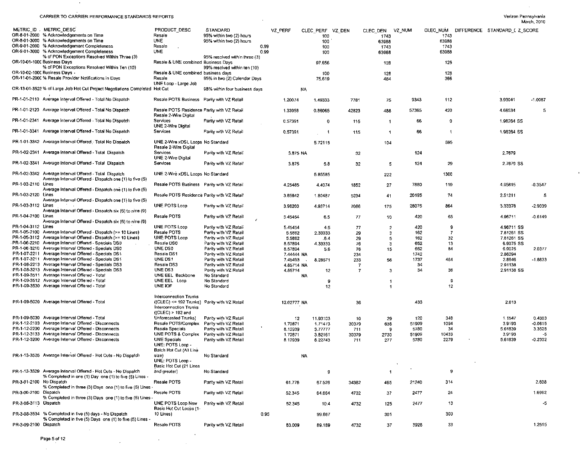$\sim 100$ 

 $\mathcal{A}^{\mathcal{A}}$ 

|                             | CARRICK TO CARRICK FERFORMANCE STANDARDS REPORTS                                                                    |                                              |                                                                  |             |                         |                |                         |        |                  | vanzon rannayıva na           | March, 2010 |
|-----------------------------|---------------------------------------------------------------------------------------------------------------------|----------------------------------------------|------------------------------------------------------------------|-------------|-------------------------|----------------|-------------------------|--------|------------------|-------------------------------|-------------|
|                             | METRIC ID METRIC DESC<br>OR-8-01-2000 % Acknowledgements on Time<br>OR-8-01-3000 % Acknowledgements on Time         | PRODUCT DESC<br>Resale<br><b>UNE</b>         | STANDARD<br>95% within two (2) hours<br>95% within two (2) hours | VZ PERF     | CLEC PERF VZ DEN<br>100 |                | CLEC DEN<br>1743        | VZ NUM | CLEC_NUM<br>1743 | DIFFERENCE STANDARD I Z SCORE |             |
|                             | OR-9-01-2000 % Acknowledgement Completeness                                                                         | Resale                                       | 0.99                                                             |             | 100<br>100              |                | 63988<br>1743           |        | 63988<br>1743    |                               |             |
|                             | OR-9-01-3000 % Acknowledgement Completeness                                                                         | <b>UNE</b>                                   | 0.99                                                             |             | 100                     |                | 63988                   |        | 63988            |                               |             |
|                             | % of PON Exceptions Resolved Within Three (3)                                                                       |                                              | 95% resolved within three (3)                                    |             |                         |                |                         |        |                  |                               |             |
| OR-10-01-1000 Business Days |                                                                                                                     | Resale & UNE combined Business Days          |                                                                  |             | 97.656                  |                | 128                     |        | 125              |                               |             |
|                             | % of PON Exceptions Resolved Within Ten (10)                                                                        |                                              | 99% resolved within ten (10)                                     |             |                         |                |                         |        |                  |                               |             |
| OR-10-02-1000 Business Days |                                                                                                                     | Resale & UNE combined business days          |                                                                  |             | 100                     |                | 128                     |        | 128              |                               |             |
|                             | OR-11-01-2000 % Resale Provider Notifications in Days                                                               | Resale                                       | 95% in two (2) Calendar Days                                     |             | 75.619                  |                | 484                     |        | 366              |                               |             |
|                             |                                                                                                                     | UNE Loop - Large Job                         |                                                                  |             |                         |                |                         |        |                  |                               |             |
|                             | OR-13-01-3523 % of Large Job Hot Cut Project Negotiations Completed Hot Cut                                         |                                              | 98% within four business days                                    |             | NA                      |                |                         |        |                  |                               |             |
|                             | PR-1-01-2110 Average Interval Offered - Total No Dispatch                                                           | Resale POTS Business Parity with VZ Retail   |                                                                  | 1.20074     | 1.49333                 | 7781           | 75                      | 9343   | 112              | 3.93041                       | $-1.0087$   |
|                             |                                                                                                                     |                                              |                                                                  |             |                         |                |                         |        |                  |                               |             |
|                             | PR-1-01-2120 Average Interval Offered - Total No Dispatch                                                           | Resale POTS Residence Parity with VZ Retail  |                                                                  | 1.33958     | 0.86065                 | 42823          | 488                     | 57365  | 420              | 4.68534                       | 5           |
|                             |                                                                                                                     | Resale 2-Wire Digital                        |                                                                  |             |                         |                |                         |        |                  |                               |             |
|                             | PR-1-01-2341 Average Interval Offered - Total No Dispatch                                                           | Services                                     | Parity with VZ Retail                                            | 0.57391     | 0                       | 115            | $\overline{1}$          | 66     | 0                | 1.98264 SS                    |             |
|                             |                                                                                                                     | UNE 2-Wire Digital                           |                                                                  |             |                         |                |                         |        |                  |                               |             |
|                             | PR-1-01-3341 Average Interval Offered - Total No Dispatch                                                           | Services                                     | Parity with VZ Retail                                            | 0.57391     | -1                      | 115            | $\mathbf{1}$            | 66     | -1               | 1.98264 SS                    |             |
|                             | PR-1-01-3342 Average Interval Offered - Total No Dispatch                                                           | UNE 2-Wire xDSL Loops No Standard            |                                                                  |             | 5.72115                 |                | 104                     |        | 595              |                               |             |
|                             |                                                                                                                     | Resale 2-Wire Digital                        |                                                                  |             |                         |                |                         |        |                  |                               |             |
|                             | PR-1-02-2341 Average Interval Offered - Total Dispatch                                                              | Services                                     | Parity with VZ Retail                                            | 3.875 NA    |                         | 32             |                         | 124    |                  | 2.7679                        |             |
|                             |                                                                                                                     | UNE 2-Wire Digital                           |                                                                  |             |                         |                |                         |        |                  |                               |             |
|                             | PR-1-02-3341 Average Interval Offered - Total Dispatch                                                              | Services                                     | Parity with VZ Retail                                            | 3.875       | 5.8                     | 32             | 5                       | 124    | 29               | 2.7679 SS                     |             |
|                             | PR-1-02-3342 Average Interval Offered - Total Dispatch                                                              | UNE 2-Wire xDSL Loops No Standard            |                                                                  |             |                         |                |                         |        | 1300             |                               |             |
|                             | Average Interval Offered - Dispatch one (1) to five (5)                                                             |                                              |                                                                  |             | 5.85585                 |                | 222                     |        |                  |                               |             |
| PR-1-03-2110 Lines          |                                                                                                                     | Resale POTS Business Parity with VZ Retail   |                                                                  | 4.25485     | 4.4074                  | 1852           | 27                      | 7880   | 119              | 4.95815                       | $-0.3547$   |
|                             | Average Interval Offered - Dispatch one (1) to five (5)                                                             |                                              |                                                                  |             |                         |                |                         |        |                  |                               |             |
| PR-1-03-2120 Lines          |                                                                                                                     | Resale POTS Residence Parity with VZ Retail  |                                                                  | 3.85842     | 1.80487                 | 5234           | 41                      | 20195  | 74               | 2.51211                       | -5          |
|                             | Average Interval Offered - Dispatch one (1) to five (5)                                                             |                                              |                                                                  |             |                         |                |                         |        |                  |                               |             |
| PR-1-03-3112 Lines          |                                                                                                                     | UNE POTS Loop                                | Parity with VZ Retail                                            | 3.96203     | 4.93714                 | 7086           | 175                     | 28075  | 864              | 3.33376                       | -2.9039     |
| PR-1-04-2100 Lines          | Average Interval Offered - Dispatch six (6) to nine (9)                                                             | Resale POTS                                  | Parity with VZ Retail                                            |             |                         |                |                         | 420    | 65               | 4.96711                       | $-0.6149$   |
|                             | Average Interval Offered - Dispatch six (6) to nine (9)                                                             |                                              |                                                                  | 5.45454     | 6.5                     | -77            | 10                      |        |                  |                               |             |
| PR-1-04-3112 Lines          |                                                                                                                     | UNE POTS Loop                                | Parity with VZ Retail                                            | 5.45454     | 4.5                     | 77             | $\overline{2}$          | 420    | -9               | 4.96711 SS                    |             |
|                             | PR-1-05-2100 Average Interval Offered - Dispatch (>= 10 Lines)                                                      | Resale POTS                                  | Parity with VZ Retail                                            | 5.5862      | 2.33333                 | 29             | 3                       | 162    | $\overline{7}$   | 7.81261 SS                    |             |
|                             | PR-1-05-3112 Average Interval Offered - Dispatch (>= 10 Lines)                                                      | UNE POTS Loop                                | Parity with VZ Retail                                            | 5.5862      | .6.4                    | 29             | 5                       | 162    | 32               | 7.81261 SS                    |             |
|                             | PR-1-06-2210 Average Interval Offered - Specials DS0                                                                | Resale DS0                                   | Parity with VZ Retail                                            | 8.57894     | 4.33333                 | 76             | 3                       | 652    | 13               | 6.9075 SS                     |             |
|                             | PR-1-06-3210 Average Interval Offered - Specials DS0                                                                | UNE DS0                                      | Parity with VZ Retail                                            | 8.57894     | 5.6                     | 76             | 15                      | 652    | 84               | 6.9075                        | 2.0377      |
|                             | PR-1-07-2211 Average Interval Offered - Specials DS1                                                                | Resale DS1                                   | Parity with VZ Retail                                            | 7.44444 NA  |                         | 234            |                         | 1742   |                  | 2.86294                       |             |
|                             | PR-1-07-3211 Average Interval Offered - Specials DS1                                                                | UNE DS1                                      | Parity with VZ Retail                                            | 7.45493     | 8.28571                 | 233            | 56                      | 1737   | 464              | 2.8646                        | -1.8833     |
|                             | PR-1-08-2213 Average Interval Offered - Specials DS3                                                                | Resale DS3                                   | Parity with VZ Retail                                            | 4.85714 NA  |                         | $\overline{7}$ |                         | -34    |                  | 2.91138                       |             |
|                             | PR-1-08-3213 Average Interval Offered - Specials DS3                                                                | UNE DS3                                      | Parity with VZ Retail                                            | 4.85714     | 12                      | 7              | 3                       | 34     | 36               | 2.91138 SS                    |             |
|                             | PR-1-09-3511 Average Interval Offered - Total                                                                       | UNE EEL Backbone                             | No Standard                                                      |             | <b>NA</b>               |                |                         |        |                  |                               |             |
|                             | PR-1-09-3512 Average Interval Offered - Total<br>PR-1-09-3530 Average Interval Offered - Total                      | UNE EEL Loop                                 | No Standard                                                      |             | 9                       |                | -1                      |        | -9               |                               |             |
|                             |                                                                                                                     | UNE IOF                                      | No Standard                                                      |             | 12                      |                | $\overline{\mathbf{1}}$ |        | 12               |                               |             |
|                             |                                                                                                                     | <b>Interconnection Trunks</b>                |                                                                  |             |                         |                |                         |        |                  |                               |             |
|                             | PR-1-09-5020 Average Interval Offered - Total                                                                       | ((CLEC) <= 192 Trunks) Parity with V2 Retail |                                                                  | 12.02777 NA |                         | 36             |                         | 433    |                  | 2.613                         |             |
|                             |                                                                                                                     | <b>Interconnection Trunks</b>                |                                                                  |             |                         |                |                         |        |                  |                               |             |
|                             |                                                                                                                     | ((CLEC) > 192 and                            |                                                                  |             |                         |                |                         |        |                  |                               |             |
|                             | PR-1-09-5030 Average Interval Offered - Total                                                                       | Unforecasted Trunks)                         | Parity with VZ Retail                                            | 12          | 11.93103                | 10             | 29                      | 120    | 346              | 1.1547                        | 0.4303      |
|                             | PR-1-12-2103 Average Interval Offered - Disconnects                                                                 | Resale POTS/Complex                          | Parity with VZ Retail                                            | 1.70871     | 1.71473                 | 30379          | 638                     | 51909  | 1094             | 3.9193                        | $-0.0815$   |
|                             | PR-1-12-2200 Average Interval Offered - Disconnects                                                                 | Resale Specials                              | Parity with VZ Retail                                            | 8.12939     | 3.77777                 | 711            | -9                      | 5780   | 34               | 5,61839                       | 3.3528      |
|                             | PR-1-12-3133 Average Interval Offered - Disconnects                                                                 | UNE POTS & Complex Parity with VZ Retail     |                                                                  | 1.70871     | 3.82161                 | 30379          | 2730                    | 51909  | 10433            | 3.9193                        | -5          |
|                             | PR-1-12-3200 Average Interval Offered - Disconnects                                                                 | <b>UNE Specials</b><br>UNE: POTS Loop -      | Parity with VZ Retail                                            | 8.12939     | 8.22743                 | 711            | 277                     | 5780   | 2279             | 5.61839                       | -0.2302     |
|                             |                                                                                                                     | Batch Hot Cut (All Line                      |                                                                  |             |                         |                |                         |        |                  |                               |             |
|                             | PR-1-13-3525 Average Interval Offered - Hot Cuts - No Dispatch                                                      | size)                                        | No Standard                                                      |             | NA                      |                |                         |        |                  |                               |             |
|                             |                                                                                                                     | UNE: POTS Loop -                             |                                                                  |             |                         |                |                         |        |                  |                               |             |
|                             |                                                                                                                     | Basic Hot Cut (21 Lines                      |                                                                  |             |                         |                |                         |        |                  |                               |             |
|                             | PR-1-13-3529 Average interval Offered - Hot Cuts - No Dispatch                                                      | and greater)                                 | No Standard                                                      |             | 9                       |                | $\overline{1}$          |        | 9                |                               |             |
| PR-3-01-2100 No Dispatch    | % Completed in one (1) Day one (1) to five (5) Lines -                                                              |                                              |                                                                  |             |                         |                |                         |        |                  |                               |             |
|                             | % Completed in three (3) Days one (1) to five (5) Lines                                                             | Resale POTS                                  | Parity with VZ Retail                                            | 61.776      | 67.526                  | 34382          | 465                     | 21240  | 314              |                               | 2.608       |
| PR-3-06-2100 Dispatch       |                                                                                                                     | Resale POTS                                  | Parity with VZ Retail                                            | 52.345      | 64.864                  | 4732           | 37                      | 2477   | 24               |                               | 1.6962      |
|                             | % Completed in three (3) Days one (1) to five (5) Lines -                                                           |                                              |                                                                  |             |                         |                |                         |        |                  |                               |             |
| PR-3-06-3113 Dispatch       |                                                                                                                     | UNE POTS Loop New                            | Parity with VZ Retail                                            | 52.345      | 10.4                    | 4732           | 125                     | 2477   | 13               |                               | $-5$        |
|                             |                                                                                                                     | Basic Hot Cut Loops (1-                      |                                                                  |             |                         |                |                         |        |                  |                               |             |
|                             | PR-3-08-3534 % Completed in five (5) days - No Dispatch<br>% Completed in five (5) Days one (1) to five (5) Lines - | 10 Lines)                                    | 0.95                                                             |             | 99.667                  |                | 301                     |        | 300              |                               |             |
| PR-3-09-2100 Dispatch       |                                                                                                                     | Resale POTS                                  | Parity with VZ Retail                                            | 83.009      | 89.189                  | 4732           | 37                      | 3928   | 33               |                               | 1.2515      |
|                             |                                                                                                                     |                                              |                                                                  |             |                         |                |                         |        |                  |                               |             |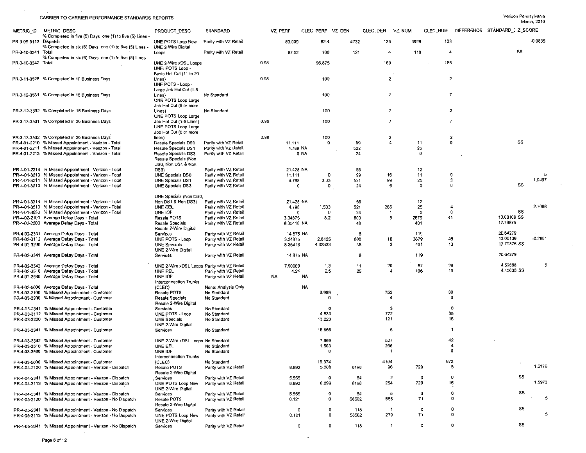$\sim$ 

 $\mathcal{A}$ 

 $\sim$ 

 $\sim$ 

SS

 $\bullet$ 

 $\mathbf{0}$ 

 $\sim$ 

| METRIC ID             | METRIC DESC<br>% Completed in five (5) Days one (1) to five (5) Lines - | PRODUCT DESC                                                             | STANDARD              |      | VZ PERF    | CLEC PERF VZ DEN |            | CLEC_DEN                 | vz num |                |              | CLEC NUM DIFFERENCE STANDARD I Z SCORE |           |
|-----------------------|-------------------------------------------------------------------------|--------------------------------------------------------------------------|-----------------------|------|------------|------------------|------------|--------------------------|--------|----------------|--------------|----------------------------------------|-----------|
| PR-3-09-3113 Dispatch | % Completed in six (6) Days one (1) to five (5) Lines -                 | UNE POTS Loop New<br>UNE 2-Wire Digital                                  | Parity with VZ Retail |      | 83.009     | 82.4             | 4732       | 125                      | 3928   | 103            |              |                                        | $-0.0835$ |
| PR-3-10-3341 Total    | % Completed in six (6) Days one (1) to five (5) Lines -                 | Loops                                                                    | Parity with VZ Retail |      | 97.52      | 100              | 121        | 4                        | 118    | 4              |              | -SS                                    |           |
| PR-3-10-3342 Total    |                                                                         | UNE 2-Wire xDSL Loops<br>UNE: POTS Loop -<br>Basic Hot Cut (11 to 20     |                       | 0.95 |            | 96.875           |            | 160                      |        | 155            |              |                                        |           |
|                       | PR-3-11-3528 % Completed in 10 Business Days                            | Lines)<br>UNE POTS - Loop -                                              |                       | 0.95 |            | 100              |            | $\overline{2}$           |        | $\overline{2}$ |              |                                        |           |
|                       | PR-3-12-3531 % Completed in 15 Business Days                            | Large Job Hot Cut (1-5<br>Lines)<br>UNE POTS Loop Large                  | No Standard           |      |            | 100              |            | 7                        |        | $\overline{7}$ |              |                                        |           |
|                       | PR-3-12-3532 % Completed in 15 Business Days                            | Job Hot Cut (6 or more<br>Lines)<br>UNE POTS Loop Large                  | No Standard           |      |            | 100              |            | 2                        |        |                | 2            |                                        |           |
|                       | PR-3-13-3531 % Completed in 26 Business Days                            | Job Hot Cut (1-5 Lines)<br>UNE POTS Loop Large<br>Job Hot Cut (6 or more |                       | 0.98 |            | 100              |            | 7                        |        | $\overline{7}$ |              |                                        |           |
|                       | PR-3-13-3532 % Completed in 26 Business Days                            | lines)                                                                   |                       | 0.98 |            | 100              |            | $\overline{2}$           |        | 2              |              |                                        |           |
|                       | PR-4-01-2210 % Missed Appointment - Verizon - Total                     | Resale Specials DS0                                                      | Parily with VZ Retail |      | 11.111     | 0                | 99         | 4                        | 11     |                | $\mathbf 0$  | SS                                     |           |
|                       | PR-4-01-2211 % Missed Appointment - Verizon - Total                     | Resale Specials DS1                                                      | Parity with VZ Retail |      | 4.789 NA   |                  | 522        |                          | 25     |                |              |                                        |           |
|                       | PR-4-01-2213 % Missed Appointment - Verizon - Total                     | Resale Specials DS3<br>Resale Specials (Non<br>DS0, Non DS1 & Non        | Parity with VZ Retail |      | 0 NA       |                  | 24         |                          | 0      |                |              |                                        |           |
|                       | PR-4-01-2214 % Missed Appointment - Verizon - Total                     | DS3)                                                                     | Parity with VZ Retail |      | 21.428 NA  |                  | 56         |                          | 12     |                |              |                                        |           |
|                       | PR-4-01-3210 % Missed Appointment - Verizon - Total                     | UNE Specials DS0                                                         | Parity with VZ Retail |      | 11.111     | 0                | 99         | 16                       | 11     |                | $\mathbf 0$  |                                        | 5         |
|                       | PR-4-01-3211 % Missed Appointment - Verizon - Total                     | <b>UNE Specials DS1</b>                                                  | Parily with VZ Retail |      | 4.798      | 3.03             | 521        | 99                       | 25     |                | 3            |                                        | 1.0497    |
|                       | PR-4-01-3213 % Missed Appointment - Verizon - Total                     | UNE Specials DS3                                                         | Parity with VZ Retail |      | 0          | 0                | 24         | -6                       | 0      |                | $\mathbf 0$  | SS                                     |           |
|                       |                                                                         | UNE Specials (Non DS0,                                                   |                       |      |            |                  |            |                          |        |                |              |                                        |           |
|                       | PR-4-01-3214 % Missed Appointment - Verizon - Total                     | Non DS1 & Non DS3)                                                       | Parity with VZ Retail |      | 21.428 NA  |                  | 56         |                          | 12     |                |              |                                        |           |
|                       | PR-4-01-3510 % Missed Appointment - Verizon - Total                     | UNE EEL                                                                  | Parity with VZ Retail |      | 4.798      | 1.503            | 521        | 266                      | 25     |                | 4            |                                        | 2.7068    |
|                       | PR-4-01-3530 % Missed Appointment - Verizon - Total                     | UNE IOF                                                                  | Parity with VZ Retail |      | 0          | $\Omega$         | 24         | -1                       | O      |                | $\mathbf{0}$ | SS                                     |           |
|                       | PR-4-02-2100 Average Delay Days - Total                                 | Resale POTS                                                              | Parity with VZ Retail |      | 3.34875    | 8.2              | 800        | 5                        | 2679   | 41             |              | 13.00109 SS                            |           |
|                       | PR-4-02-2200 Average Delay Days - Total                                 | Resale Specials<br>Resale 2-Wire Digital                                 | Parity with VZ Retail |      | 8.35416 NA |                  | 48         |                          | 401    |                |              | 12.79875                               |           |
|                       | PR-4-02-2341 Average Delay Days - Total                                 | Services                                                                 | Parity with VZ Retail |      | 14.875 NA  |                  | -8         |                          | 119    |                |              | 20.64279                               |           |
|                       | PR-4-02-3112 Average Delay Days - Total                                 | UNE POTS - Loop                                                          | Parity with VZ Retail |      | 3.34875    | 2.8125           | 800        | 16                       | 2679   | 45             |              | 13.00109                               | $-0.2891$ |
|                       | PR-4-02-3200 Average Delay Days - Total                                 | <b>UNE Specials</b>                                                      | Parity with VZ Retail |      | 8.35416    | 4.33333          | 48         | 3                        | 401    | 13             |              | 12.79875 SS                            |           |
|                       |                                                                         | UNE 2 Wire Digital                                                       |                       |      |            |                  |            |                          |        |                |              |                                        |           |
|                       | PR-4-02-3341 Average Delay Days - Total                                 | Services                                                                 | Parity with VZ Retail |      | 14.875 NA  |                  | -8         |                          | 119    |                |              | 20.64279                               |           |
|                       | PR-4-02-3342 Average Delay Days - Total                                 | UNE 2-Wire xDSL Loops Parity with VZ Relail                              |                       |      | 7.90909    | 1.3              | 11         | 20                       | 87     | 26             |              | 4.52668                                | 5         |
|                       | PR-4-02-3510 Average Delay Days - Total                                 | UNE EEL                                                                  | Parity with VZ Retail |      | 4.24       | 2.5              | 25         | 4                        | 106    |                | 10           | 4.45608 SS                             |           |
|                       | PR-4-02-3530 Average Delay Days - Total                                 | UNE IOF<br>Interconnection Trunks                                        | Parity with VZ Retail | NA.  | NA         |                  |            |                          |        |                |              |                                        |           |
|                       | PR-4-02-5000 Average Delay Days - Total                                 | (CLEC)                                                                   | None: Analysis Only   |      | NA         |                  |            |                          |        |                |              |                                        |           |
|                       | PR-4-03-2100 % Missed Appointment - Customer                            | Resale POTS                                                              | No Standard           |      |            | 3.989            |            | 752                      |        | 30             |              |                                        |           |
|                       | PR-4-03-2200 % Missed Appointment - Customer                            | Resale Specials<br>Resale 2-Wire Digital                                 | No Standard           |      |            | 0                |            | 4                        |        |                | $\mathbf{0}$ |                                        |           |
|                       | PR-4-03-2341 % Missed Appointment - Customer                            | Services                                                                 | No Standard           |      |            | 0                |            | 3                        |        |                | $\circ$      |                                        |           |
|                       | PR-4-03-3112 % Missed Appointment - Customer                            | UNE POTS - Loop                                                          | No Standard           |      |            | 4.533            |            | 772                      |        |                | 35           |                                        |           |
|                       | PR-4-03-3200 % Missed Appointment - Customer                            | <b>UNE Specials</b>                                                      | No Standard           |      |            | 13.223           |            | 121                      |        |                | 16           |                                        |           |
|                       |                                                                         | UNE 2-Wire Digital                                                       |                       |      |            |                  |            |                          |        |                |              |                                        |           |
|                       | PR-4-03-3341 % Missed Appointment - Customer                            | Services                                                                 | No Standard           |      |            | 16.666           |            | 6                        |        |                | -1           |                                        |           |
|                       | PR-4-03-3342 % Missed Appointment - Customer                            | UNE 2-Wire xDSL Loops No Standard                                        |                       |      |            | 7.969            |            | 527                      |        |                | 42           |                                        |           |
|                       | PR-4-03-3510 % Missed Appointment - Customer                            | UNE EEL                                                                  | No Standard           |      |            | 1.503            |            | 266                      |        |                | 4            |                                        |           |
|                       | PR-4-03-3530 % Missed Appointment - Customer                            | UNE IOF<br>Interconnection Trunks                                        | No Standard           |      |            | 0                |            | $\overline{\phantom{a}}$ |        |                | 0            |                                        |           |
|                       | PR-4-03-5000 % Missed Appointment - Customer                            | (CLEC)                                                                   | No Standard           |      |            | 16.374           |            | 4104                     |        | 672            |              |                                        |           |
|                       | PR-4-04-2100 % Missed Appointment - Verizon - Dispatch                  | Resale POTS<br>Resale 2-Wire Digital                                     | Parity with VZ Retail |      | 8.892      | 5.208            | 8198       | 96                       | 729    |                | 5            |                                        | 1.5175    |
|                       | PR-4-04-2341 % Missed Appointment - Verizon - Dispatch                  | Services                                                                 | Parity with VZ Retail |      | 5.555      | 0                | -54        | $\overline{2}$           |        | 3              | 0            | SS                                     |           |
|                       | PR-4-04-3113 % Missed Appointment - Verizon - Dispatch                  | UNE POTS Loop New<br>UNE 2-Wire Digital                                  | Parity with VZ Retail |      | 8.892      | 6.299            | 8198       | 254                      | 729    |                | 16           |                                        | 1.5973    |
|                       | PR-4-04-3341 % Missed Appointment - Verizon - Dispatch                  | Services                                                                 | Parity with VZ Retail |      | 5.555      | 0                | -54        | 5                        | 3      |                | o            | SS                                     |           |
|                       | PR-4-05-2100 % Missed Appointment - Verizon - No Dispatch               | Resale POTS<br>Resale 2-Wire Digital                                     | Parity with VZ Retail |      | 0.121      | 0                | 58502      | 656                      | 71     |                | 0            |                                        | 5         |
|                       | PR-4-05-2341 % Missed Appointment - Verizon - No Dispatch               | Services                                                                 | Parity with VZ Retail |      | 0          |                  | 0<br>118   | $\mathbf{1}$             |        | 0              | 0            | SS                                     |           |
|                       | PR-4-05-3113 % Missed Appointment - Verizon - No Dispatch               | UNE POTS Loop New<br>UNE 2-Wire Digital                                  | Parity with VZ Retail |      | 0.121      |                  | 0<br>58502 | 279                      | 71     |                | 0            |                                        |           |
|                       |                                                                         |                                                                          |                       |      |            |                  |            |                          |        |                |              |                                        |           |

 $\mathbf{0}$ 

 $\overline{0}$ 

 $\cdot$ 

 $118$ 

 $-1$ 

PR-4-05-3341 % Missed Appointment - Verizon - No Dispatch

 $\sim$ 

Services

Parily with VZ Retail

Page 6 of 12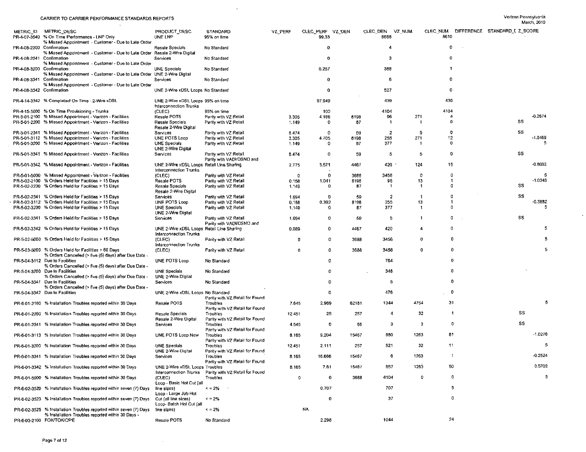$\sim$ 

|                           |                                                                                         |                                           |                                                        |         |                      |       |                  |           |              |                                        | MSICIL SUID |
|---------------------------|-----------------------------------------------------------------------------------------|-------------------------------------------|--------------------------------------------------------|---------|----------------------|-------|------------------|-----------|--------------|----------------------------------------|-------------|
|                           | METRIC ID METRIC DESC                                                                   | PRODUCT DESC                              | <b>STANDARD</b>                                        | VZ PERF | CLEC_PERF VZ DEN     |       | CLEC DEN VZ NUM  |           |              | CLEC NUM DIFFERENCE STANDARD I Z SCORE |             |
|                           | PR-4-07-3540 % On Time Performance - LNP Only                                           | UNE LNP                                   | 95% on time                                            |         | 99 33                |       | 8668             | 8610      |              |                                        |             |
|                           | % Missed Appointment - Customer - Due to Late Order                                     |                                           |                                                        |         |                      |       |                  |           |              |                                        |             |
| PR-4-08-2200 Confirmation |                                                                                         | Resale Specials                           | No Standard                                            |         | 0                    |       | 4                | $\bf{0}$  |              |                                        |             |
|                           | % Missed Appointment - Customer - Due to Late Order Resale 2-Wire Digital               |                                           |                                                        |         |                      |       |                  |           |              |                                        |             |
| PR-4-08-2341 Confirmation |                                                                                         | Services                                  | No Standard                                            |         | 0                    |       | -3               | $\Omega$  |              |                                        |             |
|                           | % Missed Appointment - Customer - Due to Late Order                                     |                                           |                                                        |         |                      |       |                  |           |              |                                        |             |
| PR-4-08-3200 Confirmation |                                                                                         | UNE Specials                              | No Standard                                            |         | 0.257                |       | 388              |           |              |                                        |             |
| PR-4-08-3341 Confirmation | % Missed Appointment - Customer - Due to Late Order UNE 2-Wire Digital                  | Services                                  | No Standard                                            |         | 0                    |       | -6               | o         |              |                                        |             |
|                           | % Missed Appointment - Customer - Due to Late Order                                     |                                           |                                                        |         |                      |       |                  |           |              |                                        |             |
| PR-4-08-3342 Confirmation |                                                                                         | UNE 2-Wire xDSL Loops No Standard         |                                                        |         | 0                    |       | 527              | 0         |              |                                        |             |
|                           |                                                                                         |                                           |                                                        |         |                      |       |                  |           |              |                                        |             |
|                           | PR-4-14-3342 % Completed On Time - 2-Wire xDSL                                          | UNE 2-Wire xDSI, Loops 95% on time        |                                                        |         | 97.949               |       | 439              | 430       |              |                                        |             |
|                           |                                                                                         | Interconnection Trunks                    |                                                        |         |                      |       |                  |           |              |                                        |             |
|                           | PR-4-15-5000 % On Time Provisioning - Trunks                                            | (CLEC)                                    | 95% on time                                            |         | 100                  |       | 4104             | 4104      |              |                                        |             |
|                           | PR-5-01-2100 % Missed Appointment - Verizon - Facilities                                | Resale POTS                               | Parity with VZ Retail                                  | 3.305   | 4.166                | 8198  | 96               | 271<br>-4 |              |                                        | $-0.2674$   |
|                           | PR-5-01-2200 % Missed Appointment - Verizon - Facilities                                | Resale Specials                           | Parity with VZ Retail                                  | 1.149   | $\mathbf{D}$         | 87    | -1               | $\Omega$  |              | 55                                     |             |
|                           |                                                                                         | Resale 2-Wire Digital                     |                                                        |         |                      |       |                  |           |              | SS                                     |             |
|                           | PR-5-01-2341 % Missed Appointment - Verizon - Facilities                                | Services                                  | Parity with VZ Retail                                  | 8.474   | $\Omega$             | 59    | $\overline{2}$   | -5<br>12  | 0            |                                        | $-1.0469$   |
|                           | PR-5-01-3112 % Missed Appointment - Verizon - Facilities                                | UNE POTS Loop                             | Parity with VZ Retail                                  | 3.305   | 4.705<br>$\mathbf 0$ | 8198  | 255<br>377       | 271       | $\mathbf{0}$ |                                        |             |
|                           | PR-5-01-3200 % Missed Appointment - Verizon - Facilities                                | <b>UNE Specials</b><br>UNE 2-Wire Digital | Parity with VZ Retail                                  | 1.149   |                      | 87    |                  |           |              |                                        |             |
|                           | PR-5-01-3341 % Missed Appointment - Verizon - Facilities                                | Services                                  | Parity with VZ Retail                                  | 8.474   | $^{\circ}$           | 59    | 5                | -5        | 0            | SS                                     |             |
|                           |                                                                                         |                                           | Parity with VADI/DSNO and                              |         |                      |       |                  |           |              |                                        |             |
|                           | PR-5-01-3342 % Missed Appointment - Verizon - Facilities                                | UNE 2-Wire xDSL Loops Retail Line Sharing |                                                        | 2.775   | 3.571                | 4467  | 420              | 15<br>124 |              |                                        | $-0.8002$   |
|                           |                                                                                         | Interconnection Trunks                    |                                                        |         |                      |       |                  |           |              |                                        |             |
|                           | PR-5-01-5000 % Missed Appointment - Verizon - Facilities                                | (CLEC)                                    | Parity with VZ Retail                                  | 0       | $\mathbf 0$          | 3688  | 3456             | 0         | 0            |                                        | 5           |
|                           | PR-5-02-2100 % Orders Held for Facilities > 15 Days                                     | Resale POTS                               | Parity with VZ Retail                                  | 0.158   | 1.041                | 8198  | 96               | 13        | -1           |                                        | $-1.0343$   |
|                           | PR-5-02-2200 % Orders Held for Facilities > 15 Days                                     | Resale Specials                           | Parity with VZ Retail                                  | 1,149   | 0                    | 87    | -1               | -1        | 0            | SS                                     |             |
|                           |                                                                                         | Resale 2-Wire Digital                     |                                                        |         |                      |       |                  |           |              |                                        |             |
|                           | PR-5-02-2341 % Orders Held for Facilities > 15 Days                                     | Services                                  | Parity with VZ Retail                                  | 1.694   | 0                    | -59   | $\boldsymbol{z}$ |           | -0           | SS                                     |             |
|                           | PR-5-02-3112 % Orders Held for Facilities > 15 Days                                     | UNE POTS Loop                             | Parity with VZ Retail                                  | 0.158   | 0.392                | 8198  | 255              | 13        | -1           |                                        | $-0.3882$   |
|                           | PR-5-02-3200 % Orders Held for Facilities > 15 Days                                     | UNE Specials                              | Parity with VZ Retail                                  | 1.149   | 0                    | 87    | 377              | -1        | n            |                                        |             |
|                           |                                                                                         | UNE 2-Wire Digital                        |                                                        |         |                      |       |                  |           | 0            | SS                                     |             |
|                           | PR-5-02-3341 % Orders Held for Facilities > 15 Days                                     | Services                                  | Parity with VZ Retail<br>Parity with VADI/DSNO and     | 1.694   | O                    | 59    | -5               |           |              |                                        |             |
|                           | PR-5-02-3342 % Orders Held for Facilities > 15 Days                                     | UNE 2-Wire xDSL Loops Retail Line Sharing |                                                        | 0.089   | 0                    | 4467  | 420              | 4         | n            |                                        |             |
|                           |                                                                                         | Interconnection Trunks                    |                                                        |         |                      |       |                  |           |              |                                        |             |
|                           | PR-5-02-5000 % Orders Held for Facilities > 15 Days                                     | (CLEC)                                    | Parity with VZ Retail                                  |         | 0<br>0               | 3688  | 3456             | o         | o            |                                        |             |
|                           |                                                                                         | Interconnection Trunks                    |                                                        |         |                      |       |                  |           |              |                                        |             |
|                           | PR-5-03-5000 % Orders Held for Facilities > 60 Days                                     | (CLEC)                                    | Parity with VZ Retail                                  |         | 0<br>0               | 3688  | 3456             | 0         | 0            |                                        |             |
|                           | % Orders Cancelled (> five (5) days) after Due Date -                                   |                                           |                                                        |         |                      |       |                  |           |              |                                        |             |
|                           | PR-5-04-3112 Due to Facilities                                                          | UNE POTS Loop                             | No Standard                                            |         | $\Omega$             |       | 764              |           | 0            |                                        |             |
|                           | % Orders Cancelled (> five (5) days) after Due Date -                                   |                                           |                                                        |         |                      |       |                  |           |              |                                        |             |
|                           | PR-5-04-3200 Due to Facilities                                                          | UNE Specials                              | No Standard                                            |         | o                    |       | 348              |           | 0            |                                        |             |
|                           | % Orders Cancelled (> five (5) days) after Due Date -                                   | UNE 2-Wire Digital                        |                                                        |         | Ð                    |       |                  |           | 0            |                                        |             |
|                           | PR-5-04-3341 Due to Facilities<br>% Orders Cancelled (> five (5) days) after Due Date - | Services                                  | No Standard                                            |         |                      |       | -5               |           |              |                                        |             |
|                           | PR-5-04-3342 Due to Facilities                                                          | UNE 2-Wire xDSL Loops No Standard         |                                                        |         | O                    |       | 476              |           | D            |                                        |             |
|                           |                                                                                         |                                           | Parity with VZ Retail for Found                        |         |                      |       |                  |           |              |                                        |             |
|                           | PR-6-01-2100 % Installation Troubles reported within 30 Days                            | Resale POTS                               | Troubles                                               | 7.645   | 2.969                | 62181 | 1044             | 4754      | 31           |                                        | 5           |
|                           |                                                                                         |                                           | Parity with VZ Retail for Found                        |         |                      |       |                  |           |              |                                        |             |
|                           | PR-6-01-2200 % Installation Troubles reported within 30 Days                            | Resale Specials                           | Troubles                                               | 12.451  | 25                   | 257   | 4                | 32        | $\mathbf{1}$ | SS                                     |             |
|                           |                                                                                         | Resale 2-Wire Digital                     | Parity with VZ Retail for Found                        |         |                      |       |                  |           |              |                                        |             |
|                           | PR-6-01-2341 % Installation Troubles reported within 30 Days                            | Services                                  | Troubles                                               | 4.545   | 0                    | 66    | з                | 3         | ٥            | SS                                     |             |
|                           |                                                                                         |                                           | Parity with VZ Retail for Found                        |         |                      |       |                  |           |              |                                        | $-1.0276$   |
|                           | PR-6-01-3113 % Installation Troubles reported within 30 Days                            | UNE POTS Loop New                         | Troubles                                               | 8.165   | 9.204                | 15467 | 880              | 1263      | 81           |                                        |             |
|                           |                                                                                         | <b>UNE Specials</b>                       | Parity with VZ Retail for Found                        |         |                      |       | 521              | 32        | 11           |                                        | 5           |
|                           | PR-6-01-3200 % Installation Troubles reported within 30 Days                            | UNE 2-Wire Digital                        | Troubles<br>Parity with VZ Retail for Found            | 12.451  | 2.111                | 257   |                  |           |              |                                        |             |
|                           | PR-6-01-3341 % Installation Troubles reported within 30 Days                            | Services                                  | Troubles                                               | 8.165   | 16.666               | 15467 |                  | 1263      |              |                                        | $-0.2524$   |
|                           |                                                                                         |                                           | Parity with VZ Retail for Found                        |         |                      |       |                  |           |              |                                        |             |
|                           | PR-6-01-3342 % Installation Troubles reported within 30 Days                            | UNE 2-Wire xDSL Loops Troubles            |                                                        | 8.165   | 7.61                 | 15467 | 657              | 1263      | 50           |                                        | 0.5702      |
|                           |                                                                                         |                                           | Interconnection Trunks Parity with VZ Retail for Found |         |                      |       |                  |           |              |                                        |             |
|                           | PR-6-01-5000 % Installation Troubles reported within 30 Days                            | (CLEC)                                    | Troubles                                               |         | 0<br>0               | 3688  | 4104             | 0         | o            |                                        | 5           |
|                           |                                                                                         | Loop - Basic Hot Cut (all                 |                                                        |         |                      |       |                  |           |              |                                        |             |
|                           | PR-6-02-3520 % Installation Troubles reported within seven (7) Days                     | line sizes)                               | $\leq$ = 2%                                            |         | 0.707                |       | 707              |           | 5            |                                        |             |
|                           |                                                                                         | Loop - Large Job Hot                      |                                                        |         |                      |       |                  |           |              |                                        |             |
|                           | PR-6-02-3523 % Installation Troubles reported within seven (7) Days                     | Cut (all line sizes)                      | $\leq$ = 2%                                            |         | $\mathbf 0$          |       | 37               |           | 0            |                                        |             |
|                           | PR-6-02-3525 % Installation Troubles reported within seven (7) Days                     | Loop- Batch Hot Cut (all<br>line sizes)   | $\leq$ = 2%                                            |         | NA                   |       |                  |           |              |                                        |             |
|                           | % Installation Troubles reported within 30 Days -                                       |                                           |                                                        |         |                      |       |                  |           |              |                                        |             |
|                           | PR-6-03-2100 FOK/TOK/CPE                                                                | Resaie POTS                               | No Standard                                            |         | 2.298                |       | 1044             |           | 24           |                                        |             |
|                           |                                                                                         |                                           |                                                        |         |                      |       |                  |           |              |                                        |             |

 $\sim 10^{-1}$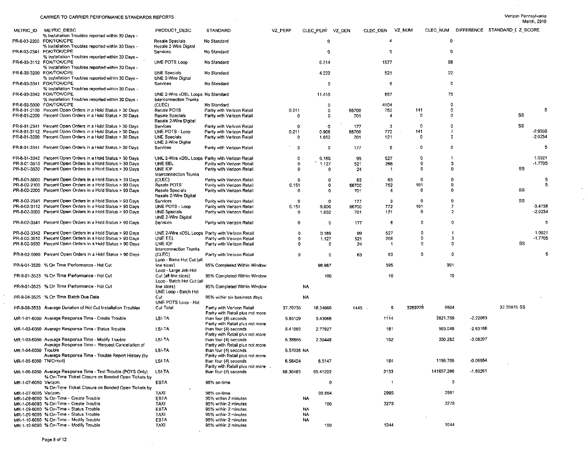$\sim$  $\bar{z}$ 

 $\sim$ 

| METRIC ID             | METRIC DESC<br>% Installation Troubles reported within 30 Days -                                                           | PRODUCT DESC                                                | <b>STANDARD</b>                                                | VZ PERF    | CLEC PERF VZ DEN |       | CLEC DEN   | VZ NUM                   |             |                | CLEC NUM DIFFERENCE STANDARD I Z_SCORE |                |
|-----------------------|----------------------------------------------------------------------------------------------------------------------------|-------------------------------------------------------------|----------------------------------------------------------------|------------|------------------|-------|------------|--------------------------|-------------|----------------|----------------------------------------|----------------|
|                       | PR-6-03-2200 FOK/TOK/CPE<br>% Installation Troubles reported within 30 Days -                                              | Resale Specials<br>Resale 2-Wire Digital                    | No Standard                                                    |            | 0                |       | 4          |                          | 0           |                |                                        |                |
|                       | PR-6-03-2341 FOK/TOK/CPE<br>% Installation Troubles reported within 30 Days -                                              | <b>Services</b>                                             | No Standard                                                    |            | -O               |       | -3         |                          | ¢           |                |                                        |                |
|                       | PR-6-03-3112 FOK/TOK/CPE<br>% Installation Troubles reported within 30 Days -                                              | UNE POTS Loop                                               | No Standard                                                    |            | 6.214            |       | 1577       |                          | 98          |                |                                        |                |
|                       | PR-6-03-3200 FOK/TOK/CPE<br>% Installation Troubles reported within 30 Days -                                              | UNE Specials<br>UNE 2-Wire Digital                          | No Standard                                                    |            | 4.222            |       | 521        |                          | 22          |                |                                        |                |
|                       | PR-6-03-3341 FOK/TOK/CPE<br>% Installation Troubles reported within 30 Days -                                              | Services                                                    | No Standard                                                    |            | $\mathbf 0$      |       | 6          |                          | 0           |                |                                        |                |
|                       | PR-6-03-3342 FOK/TOK/CPE<br>% Installation Troubles reported within 30 Days -                                              | UNE 2-Wire xDSL Loops No Standard<br>Interconnection Trunks |                                                                |            | 11.415           |       | 657        |                          | 75          |                |                                        |                |
|                       | PR-6-03-5000 FOK/TOK/CPE                                                                                                   | (CLEC)                                                      | No Standard                                                    |            | $\mathbf 0$      |       | 4104       |                          | 0           |                |                                        |                |
|                       | PR-8-01-2100 Percent Open Orders in a Hold Status > 30 Days                                                                | Resale POTS                                                 | Parity with Verizon Retail                                     | 0.211      | $\mathbf 0$      | 66700 | 752        | 141                      | 0           |                |                                        | 5              |
|                       | PR-8-01-2200 Percent Open Orders in a Hold Status > 30 Days                                                                | Resale Specials<br>Resale 2-Wire Digital                    | Parity with Verizon Retail                                     | -0         | 0                | 701   | 4          | 0                        | 0           |                | SS                                     |                |
|                       | PR-8-01-2341 Percent Open Orders in a Hold Status > 30 Days                                                                | Services                                                    | Parity with Verizon Retail                                     | 0          | ۰0               | 177   | 3          | $\Omega$                 | 0           |                | SS                                     |                |
|                       | PR-8-01-3112 Percent Open Orders in a Hold Status > 30 Days                                                                | UNE POTS - Loop                                             | Parity with Verizon Retail                                     | 0.211      | 0.906            | 66700 | 772        | 141                      | 7           |                |                                        | -2.9359        |
|                       | PR-8-01-3200 Percent Open Orders in a Hold Status > 30 Days                                                                | UNE Specials<br>UNE 2-Wire Digital                          | Parity with Verizon Retail                                     | 0          | 1.652            | 701   | 121        | $\mathbf{0}$<br>$\Omega$ | 2<br>o      |                |                                        | $-2.0234$<br>5 |
|                       | PR-8-01-3341 Percent Open Orders in a Hold Status > 30 Days                                                                | Services                                                    | Parity with Verizon Retail                                     | -0<br>o    | $^{\circ}$       | 177   | 6          | o                        |             |                |                                        | 1,0021         |
|                       | PR-8-01-3342 Percent Open Orders in a Hold Status > 30 Days                                                                |                                                             | UNE 2-Wire xDSL Loops Parity with Verizon Retail               | $\Omega$   | 0.189            | 99    | 527        | Ð                        | з           |                |                                        | $-1.7705$      |
|                       | PR-8-01-3510 Percent Open Orders in a Hold Status > 30 Days<br>PR-8-01-3530 Percent Open Orders in a Hold Status > 30 Days | UNE EEL<br>UNE IOF                                          | Parity with Verizon Retail                                     | 0          | 1.127            | 521   | 266<br>-1  | O                        | ß           |                | SS                                     |                |
|                       |                                                                                                                            | Interconnection Trunks                                      | Parity with Verizon Retail                                     |            | o                | 24    |            |                          |             |                |                                        |                |
|                       | PR-8-01-5000 Percent Open Orders in a Hold Status > 30 Days                                                                | (CLEC)                                                      | Parity with Verizon Retail                                     | 0          | o                | 63    | 63         | 0                        | n           |                |                                        | 5              |
|                       | PR-8-02-2100 Percent Open Orders in a Hold Status > 90 Days                                                                | Resale POTS:                                                | Parity with Verizon Retail                                     | 0.151      | 0                | 66700 | 752        | 101                      | 0           |                |                                        | 5              |
|                       | PR-8-02-2200 Percent Open Orders in a Hold Status > 90 Days                                                                | Resale Specials<br>Resale 2-Wire Digital                    | Parity with Verizon Retail                                     | $\Omega$   | 0                | 701   | 4          | O                        | Ð           |                | SS                                     |                |
|                       | PR-8-02-2341 Percent Open Orders in a Hold Status > 90 Days                                                                | Services                                                    | Parity with Verizon Retail                                     | 0          | 0                | 177   | 3          | o                        | $\Omega$    |                | SS                                     |                |
|                       | PR-8-02-3112 Percent Open Orders in a Hold Status > 90 Days                                                                | UNE POTS - Loop                                             | Parity with Verizon Retail                                     | 0.151      | 0.906            | 66700 | 772        | 101                      | -7          |                |                                        | -3.4738        |
|                       | PR-8-02-3200 Percent Open Orders in a Hold Status > 90 Days                                                                | UNE Specials<br>UNE 2-Wire Digital                          | Parity with Verizon Retail                                     | 0          | 1.652            | 701   | 121        | 0                        |             | $\overline{2}$ |                                        | $-2.0234$      |
|                       | PR-8-02-3341 Percent Open Orders in a Hold Status > 90 Days                                                                | Services                                                    | Parity with Verizon Retail                                     | 0          | $\mathbf{0}$     | 177   | -6         | 0                        | -0          |                |                                        | 5              |
|                       | PR-8-02-3342 Percent Open Orders in a Hold Status > 90 Days                                                                |                                                             | UNE 2-Wire xDSL Loops Parity with Verizon Retail               | 0          | 0.189            | 99    | 527        | 0                        |             |                |                                        | 1.0021         |
|                       | PR-8-02-3510 Percent Open Orders in a Hold Status > 90 Days                                                                | <b>UNE EEL</b>                                              | Parity with Verizon Retail                                     | ി          | 1.127            | 521   | 266        |                          | $\mathbf 0$ | -3             |                                        | $-1.7705$      |
|                       | PR-8-02-3530 Percent Open Orders in a Hold Status > 90 Days                                                                | UNE IOF<br>Interconnection Trunks                           | Parity with Verizon Retail                                     | -0         | 0                | -24   |            | 0                        | -0          |                | SS                                     |                |
|                       | PR-8-02-5000 Percent Open Orders in a Hold Status > 90 Days                                                                | (CLEC)<br>Loop - Basic Hot Cut (all                         | Parity with Verizon Retail                                     | o          | 0                | 63    | 63         | 0                        |             | $\Omega$       |                                        | 5              |
|                       | PR-9-01-3520 % On Time Performance - Hot Cut                                                                               | line sizes)<br>Loop - Large Job Hot                         | 95% Completed Within Window                                    |            | 98.987           |       | 395        |                          | 391         |                |                                        |                |
|                       | PR-9-01-3523 % On Time Performance - Hot Cut                                                                               | Cut (all line sizes)<br>Loop - Batch Hot Cut (all           | 95% Completed Within Window                                    |            | 100              |       | 10         |                          | 10          |                |                                        |                |
|                       | PR-9-01-3525 % On Time Performance - Hot Cut                                                                               | line sizes)<br>UNE Loop - Batch Hot                         | 95% Completed Within Window                                    |            | NA               |       |            |                          |             |                |                                        |                |
|                       | PR-9-04-3525 % On Time Batch Due Date                                                                                      | Cut<br>UNE POTS Loop - Hot                                  | 95% within six business days                                   |            | NA               |       |            |                          |             |                |                                        |                |
|                       | PR-9-08-3533 Average Duration of Hot Cut Installation Troubles                                                             | Cul Total                                                   | Parity with Verizon Retail<br>Parity with Retail plus not more | 37.70735   | 18.34666         |       | 1445.<br>5 | 3259228                  | 5504        |                | 32.35975 SS                            |                |
|                       | MR-1-01-6050 Average Response Time - Create Trouble                                                                        | LSI-TA                                                      | than four (4) seconds<br>Parity with Retail plus not more      | 5.65129    | 3.43066          |       | 1114       |                          | 3821.759    | -2.22063       |                                        |                |
|                       | MR-1-02-6050 Average Response Time - Status Trouble                                                                        | LSI-TA                                                      | than four (4) seconds<br>Parity with Retail plus not more      | 5.41093    | 2.77927          |       | 181        |                          | 503.048     | -2.63166       |                                        |                |
|                       | MR-1-03-6050 Average Response Time - Modify Trouble<br>Average Response Time - Request Cancellation of                     | LSI-TA                                                      | than four (4) seconds<br>Parity with Retail plus not more      | 5.38655    | 2.30448          |       | 152        |                          | 350.282     | $-3.08207$     |                                        |                |
| MR-1-04-6050 Trouble  | Average Response Time - Trouble Report History (by                                                                         | LSI TA                                                      | than four (4) seconds<br>Parity with Retail plus not more      | 5.57036 NA |                  |       |            |                          |             |                |                                        |                |
|                       | MR-1-05-6050 TN/Circuit)                                                                                                   | LSI-TA                                                      | than four (4) seconds<br>Parity with Retail plus not more      | 6.58424    | 6.5147           |       | 184        |                          | 1198.706    | $-0.06954$     |                                        |                |
|                       | MR-1-06-6050 Average Response Time - Test Trouble (POTS Only)<br>% On-Time Ticket Closure on Bonded Open Tickets by        | LSI-TA                                                      | than four (4) seconds                                          | 68.30483   | 66.41222         |       | 2133       |                          | 141657.266  | -1.89261       |                                        |                |
| MR-1-07-6060 Verizon. | % On-Time Ticket Closure on Bonded Open Tickets by                                                                         | EBTA                                                        | 98% on-time                                                    |            | $\mathbf 0$      |       |            |                          |             | O              |                                        |                |
| MR-1-07-6095 Verizon. |                                                                                                                            | TAXI                                                        | 98% on time                                                    |            | 98.864           |       | 2995       |                          | 2961        |                |                                        |                |
|                       | MR-1-08-6060 % On-Time - Create Trouble                                                                                    | EBTA                                                        | 95% within 2 minutes                                           |            | NA               |       |            |                          |             |                |                                        |                |
|                       | MR-1-08-6095 % On-Time - Create Trouble                                                                                    | TAXI                                                        | 95% within 2 minutes                                           |            | 100              |       | 3270       |                          | 3270        |                |                                        |                |
|                       | MR-1-09-6060 % On-Time - Status Trouble                                                                                    | EBTA                                                        | 95% within 2 minutes                                           |            | NA               |       |            |                          |             |                |                                        |                |
|                       | MR-1-09-6095 % On-Time - Status Trouble                                                                                    | TAXI                                                        | 95% within 2 minutes                                           |            | <b>NA</b>        |       |            |                          |             |                |                                        |                |
|                       | MR-1-10-6060 % On-Time - Modify Trouble                                                                                    | EBTA                                                        | 95% within 2 minutes                                           |            | <b>NA</b>        |       |            |                          |             |                |                                        |                |
|                       | MR-1-10-6095 % On-Time - Modify Trouble                                                                                    | TAXI                                                        | 95% within 2 minutes                                           |            | 100              |       | 1044       |                          | 1044        |                |                                        |                |

 $\sim$   $\sim$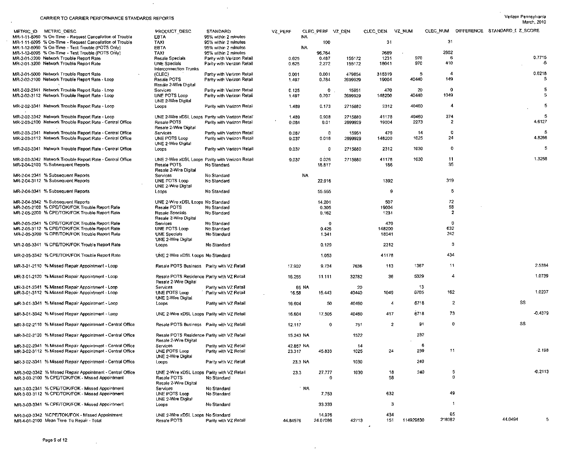$\sim$ 

 $\sim$ 

 $\sim$ 

 $\alpha$ 

| <b><i>CARDINGS TO ORIGINALIST</i></b> CARD CHARGE CHANNER MADO THEI OTHIO                                              |                                                                                     |                                                          |                     |                     |                             |               |             |                                 |                   |                                        | March, 2010 |
|------------------------------------------------------------------------------------------------------------------------|-------------------------------------------------------------------------------------|----------------------------------------------------------|---------------------|---------------------|-----------------------------|---------------|-------------|---------------------------------|-------------------|----------------------------------------|-------------|
| METRIC ID METRIC DESC                                                                                                  | PRODUCT DESC                                                                        | STANDARD                                                 | VZ_PERF             | CLEC_PERF VZ_DEN    |                             | CLEC DEN      | vz num      |                                 |                   | CLEC NUM DIFFERENCE STANDARD I Z SCORE |             |
| MR-1-11-6060 % On-Time - Request Cancellation of Trouble                                                               | EBTA                                                                                | 95% within 2 minutes                                     |                     | NA                  |                             |               |             |                                 |                   |                                        |             |
| MR-1-11-6095 % On-Time - Request Cancellation of Trouble                                                               | TAXI                                                                                | 95% within 2 minutes                                     |                     |                     | 100                         | 31            |             | 31                              |                   |                                        |             |
| MR-1-12-6060 % On-Time - Test Trouble (POTS Only)<br>MR-1-12-6095 % On Time Test Trouble (POTS Only)                   | EBTA<br>TAXI                                                                        | 95% within 2 minutes<br>95% within 2 minutes             |                     | <b>NA</b><br>96.764 |                             | 2689          |             | 2602                            |                   |                                        |             |
| MR-2-01-2200 Network Trouble Report Rate                                                                               | Resale Specials                                                                     | Parity with Verizon Retail                               | 0.625               | 0.487               | 155172                      | 1231          | 970         | -6                              |                   |                                        | 0.7715      |
| MR-2-01-3200 Network Trouble Report Rate                                                                               | UNE Specials<br><b>Interconnection Trunks</b>                                       | Parity with Verizon Retail                               | 0.625               | 2,272               | 155172                      | 18041         | 970         | 410                             |                   |                                        | -5          |
| MR-2-01-5000 Network Trouble Report Rate                                                                               | (CLEC)                                                                              | Parity with Verizon Retail                               | 0.001               | 0.001               | 479854                      | 315319        | 5           | -4                              |                   |                                        | 0.0218      |
| MR-2-02-2100 Network Trouble Report Rate - Loop                                                                        | Resale POTS<br>Resale 2-Wire Digital                                                | Parity with Verizon Retail                               | 1.497               | 0.784               | 2699929                     | 19004         | 40440       | 149                             |                   |                                        | 5           |
| MR-2-02-2341 Network Trouble Report Rate - Loop<br>MR-2-02-3112 Network Trouble Report Rate - Loop                     | Services<br>UNE POTS Loop<br>UNE 2-Wire Digital                                     | Parity with Verizon Retail<br>Parity with Verizon Retail | 0.125<br>1.497      | 0.707               | $\circ$<br>15951<br>2699929 | 470<br>148200 | 20<br>40440 | $\overline{\mathbf{0}}$<br>1049 |                   |                                        | 5<br>5      |
| MR-2-02-3341 Network Trouble Report Rate - Loop                                                                        | Loops                                                                               | Parity with Verizon Retail                               | 1.489               | 0.173               | 2715880                     | 2312          | 40460       | -4                              |                   |                                        | 5           |
| MR-2-02-3342 Network Trouble Report Rate - Loop                                                                        |                                                                                     | UNE 2-Wire xDSL Loops Parity with Verizon Retail         | 1.489               | 0.908               | 2715880                     | 41178         | 40460       | 374                             |                   |                                        | 5           |
| MR-2-03-2100 Network Trouble Report Rate - Central Office                                                              | Resale POTS<br>Resale 2-Wire Digital                                                | Parity with Verizon Retail                               | 0.084               | 0.01                | 2699929                     | 19004         | 2273        | $\mathbf{2}$                    |                   |                                        | 4.6127      |
| MR-2-03-2341 Network Trouble Report Rate - Central Office                                                              | Services                                                                            | Parity with Verizon Retail                               | 0.087               |                     | 0<br>15951                  | 470           | 14          | 0                               |                   |                                        | -5          |
| MR-2-03-3112 Network Trouble Report Rate - Central Office                                                              | UNE POTS Loop<br>UNE 2-Wire Digital                                                 | Parity with Verizon Retail                               | 0.037               | 0.016               | 2699929                     | 148200        | 1025        | 24                              |                   |                                        | 4.8266      |
| MR-2-03-3341 Network Trouble Report Rate - Central Office                                                              | Loops                                                                               | Parity with Verizon Retail                               | 0.037               |                     | 2715880<br>0                | 2312          | 1030        | 0                               |                   |                                        | 5           |
| MR-2-03-3342 Network Trouble Report Rate - Central Office                                                              |                                                                                     | UNE 2-Wire xDSL Loops Parity with Verizon Retail         | 0.037               | 0.026               | 2715880                     | 41178         | 1030        | 11<br>35                        |                   |                                        | 1.3258      |
| MR-2-04-2100 % Subsequent Reports                                                                                      | Resale POTS<br>Resale 2-Wire Digital                                                | No Standard                                              |                     | 18.817              |                             | 186           |             |                                 |                   |                                        |             |
| MR-2-04-2341 % Subsequent Reports                                                                                      | <b>Services</b>                                                                     | No Standard                                              |                     | <b>NA</b>           |                             |               |             |                                 |                   |                                        |             |
| MR-2-04-3112 % Subsequent Reports                                                                                      | UNE POTS Loop<br>UNE 2-Wire Digital                                                 | No Standard                                              |                     | 22.916              |                             | 1392          |             | 319                             |                   |                                        |             |
| MR-2-04-3341 % Subsequent Reports                                                                                      | Loops                                                                               | No Standard                                              |                     | 55.555              |                             | 9             |             | 5                               |                   |                                        |             |
| MR-2-04-3342 % Subsequent Reports                                                                                      | UNE 2-Wire xDSL Loops No Standard                                                   |                                                          |                     | 14.201              |                             | 507           |             | 72                              |                   |                                        |             |
| MR-2-05-2100 % CPE/TOK/FOK Trouble Report Rate<br>MR-2-05-2200 % CPE/TOK/FOK Trouble Report Rate                       | Resale POTS<br><b>Resale Specials</b>                                               | No Standard<br>No Standard                               |                     | 0.305<br>0.162      |                             | 19004<br>1231 |             | 58<br>-2                        |                   |                                        |             |
|                                                                                                                        | Resale 2-Wire Digital                                                               |                                                          |                     |                     |                             |               |             |                                 |                   |                                        |             |
| MR-2-05-2341 % CPE/TOK/FOK Trouble Report Rate<br>MR-2-05-3112 % CPE/TOK/FOK Trouble Report Rate                       | Services<br>UNE POTS Loop                                                           | No Standard<br>No Standard                               |                     | 0.426               | 0                           | 470<br>148200 |             | Ð<br>632                        |                   |                                        |             |
| MR-2-05-3200 % CPE/TOK/FOK Trouble Report Rate                                                                         | <b>UNE Specials</b><br>UNE 2-Wire Digital                                           | No Standard                                              |                     |                     | 1.341                       | 18041         |             | 242                             |                   |                                        |             |
| MR-2-05-3341 % CPE/TOK/FOK Trouble Report Rate                                                                         | Loops                                                                               | No Standard                                              |                     | 0.129               |                             | 2312          |             | -3                              |                   |                                        |             |
| MR-2-05-3342 % CPE/TOK/FOK Trouble Report Rate                                                                         | UNE 2-Wire xDSL Loops No Standard                                                   |                                                          |                     |                     | 1.053                       | 41178         |             | 434                             |                   |                                        |             |
| MR-3-01-2110 % Missed Repair Appointment - Loop                                                                        | Resale POTS Business Parity with VZ Retail                                          |                                                          | 17.902              |                     | 9.734<br>7636               | 113           | 1367        | 11                              |                   |                                        | 2.5384      |
| MR-3-01-2120 % Missed Repair Appointment - Loop                                                                        | Resale POTS Residence Parity with VZ Retail<br>Resale 2-Wire Digital                |                                                          | 16.255              | 11.111              | 32782                       | 36            | 5329        | 4                               |                   |                                        | 1.0739      |
| MR-3-01-2341 % Missed Repair Appointment - Loop                                                                        | Services                                                                            | Parity with VZ Retail                                    |                     | 65 NA               | 20                          |               | 13          |                                 |                   |                                        |             |
| MR-3-01-3112 % Missed Repair Appointment - Loop                                                                        | UNE POTS Loop<br>UNE 2 Wire Digital                                                 | Parity with VZ Retail                                    | 16.58               | 15.443              | 40440                       | 1049          | 6705        | 162                             |                   |                                        | 1.0207      |
| MR-3-01-3341 % Missed Repair Appointment - Loop                                                                        | Loops                                                                               | Parity with VZ Retail                                    | 16.604              |                     | 40460<br>50                 | 4             | 6718        |                                 | $\overline{2}$    | SS                                     |             |
| MR-3-01-3342 % Missed Repair Appointment - Loop                                                                        | UNE 2-Wire xDSL Loops Parity with VZ Retail                                         |                                                          | 16.604              | 17.505              | 40460                       | 417           | 6718        | 73                              |                   |                                        | $-0.4379$   |
| MR-3-02-2110 % Missed Repair Appointment - Central Office                                                              | Resale POTS Business Parity with VZ Retail                                          |                                                          | 12.117              |                     | $\mathbf 0$<br>751          |               | 91<br>2     |                                 | o                 | SS                                     |             |
| MR-3-02-2120 % Missed Repair Appointment - Central Office                                                              | Resale POTS Residence Parity with VZ Retail<br>Resale 2-Wire Digital                |                                                          | 15.243 NA           |                     | 1522                        |               | 232         |                                 |                   |                                        |             |
| MR-3-02-2341 % Missed Repair Appointment - Central Office<br>MR-3-02-3112 % Missed Repair Appointment - Central Office | Services<br>UNE POTS Loop<br>UNE 2-Wire Digital                                     | Parity with VZ Retail<br>Parity with VZ Retail           | 42.857 NA<br>23.317 | 45.833              | 14<br>1025                  | 24            | 239         | 6<br>11                         |                   |                                        | $-2.198$    |
| MR-3-02-3341 % Missed Repair Appointment - Central Office                                                              | Loops                                                                               | Parity with VZ Retail                                    |                     | 23.3 NA             | 1030                        |               | 240         |                                 |                   |                                        |             |
| MR-3-02-3342 % Missed Repair Appointment - Central Office<br>MR-3-03-2100 % CPE/TOK/FOK - Missed Appointment           | UNE 2 Wire xDSL Loops Parity with VZ Retail<br>Resale POTS<br>Resale 2-Wire Digital | No Standard                                              | 23.3                | 27.777              | 1030<br>$\Omega$            | 18<br>58      | 240         |                                 | 5<br>$\mathbf{0}$ |                                        | 0.2113      |
| MR-3-03-2341 % CPE/TOK/FOK - Missed Appointment                                                                        | Services                                                                            | No Standard                                              |                     | ∴ NA                |                             |               |             |                                 |                   |                                        |             |
| MR-3-03-3112 % CPE/TOK/FOK - Missed Appointment                                                                        | UNE POTS Loop<br>UNE 2 Wire Digital                                                 | No Standard                                              |                     |                     | 7.753                       | 632           |             | 49                              |                   |                                        |             |
| MR-3-03-3341 % CPE/TOK/FOK - Missed Appointment                                                                        | Loops                                                                               | No Standard                                              |                     | 33 333              |                             | 3             |             |                                 | 1                 |                                        |             |
| MR-3-03-3342 %CPE/TOK/FOK - Missed Appointment<br>MR-4-01-2100 Mean Time To Repair - Total                             | UNE 2-Wire xDSL Loops No Standard<br>Resale POTS                                    | Parity with VZ Retail                                    | 44.84576            | 14.976<br>24.07086  | 42713                       | 434<br>151    | 114929830   | 65<br>218082                    |                   | 44.0494                                | 5           |

 $\sim$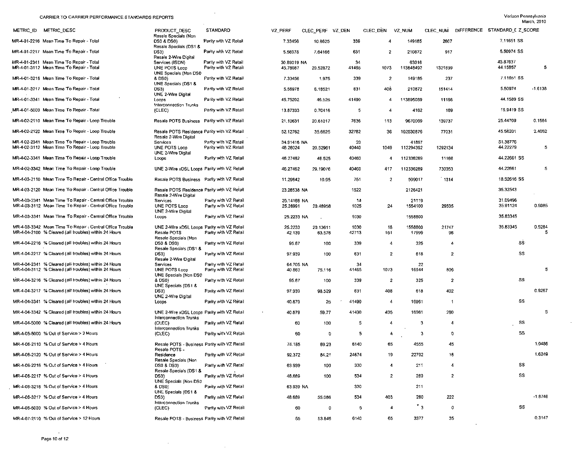$\sim$ 

 $\sim$ 

| METRIC_ID<br>METRIC_DESC                                                                                           | PRODUCT DESC                                                                       | STANDARD                                       | VZ PERF                 | CLEC_PERF VZ_DEN   |               | CLEC DEN       | VZ NUM                 | CLEC NUM       | DIFFERENCE STANDARD [ Z_SCORE |             |
|--------------------------------------------------------------------------------------------------------------------|------------------------------------------------------------------------------------|------------------------------------------------|-------------------------|--------------------|---------------|----------------|------------------------|----------------|-------------------------------|-------------|
| MR-4-01-2216 Mean Time To Repair - Total                                                                           | Resale Specials (Non<br><b>DS0 &amp; DS0)</b>                                      | Parity with VZ Retail                          | 7.33456                 | 10.8625            | 339           | 4              | 149185                 | 2607           | 7.11651 SS                    |             |
| MR-4-01-2217 Mean Time To Repair - Total                                                                           | Resale Specials (DS1 &<br>DS3)<br>Resale 2-Wire Digital                            | Parity with VZ Retail                          | 5.56978                 | 7 64166            | 631           | $\overline{2}$ | 210872                 | 917            | 5.50974 SS                    |             |
| MR-4-01-2341 Mean Time To Repair - Total<br>MR-4-01-3112 Mean Time To Repair - Total                               | Services (ISDN)<br>UNE POTS Loop                                                   | Parity with VZ Retail<br>Parity with VZ Retail | 30.89019 NA<br>45.76087 | 20.52872           | 34<br>41465   | 1073           | 63016<br>113848492     | 1321639        | 43.87637<br>44.15657          | 5           |
| MR-4-01-3216 Mean Time To Repair - Total                                                                           | UNE Specials (Non DS0<br>& DS0)                                                    | Parity with VZ Retail                          | 7.33456                 | 1.975              | 339           | $\overline{2}$ | 149185                 | 237            | 7.11651 SS                    |             |
| MR-4-01-3217 Mean Time To Repair - Total                                                                           | UNE Specials (DS1 &<br>DS3)<br>UNE 2-Wire Digital                                  | Parity with VZ Retail                          | 5.56978                 | 6.18521            | 631           | 408            | 210872                 | 151414         | 5.50974                       | $-1.6138$   |
| MR-4-01-3341 Mean Time To Repair - Total                                                                           | Loops<br>Interconnection Trunks                                                    | Parity with VZ Retail                          | 45.75202                | 46.525             | 41490         | 4              | 113895089              | 11166          | 44,1589 SS                    |             |
| MR-4-01-5000 Mean Time To Repair - Total                                                                           | (CLEE)                                                                             | Parity with VZ Retail                          | 13.87333                | 0.70416            | 5             | 4              | 4162                   | 169            | 16.9419 SS                    |             |
| MR-4-02-2110 Mean Time To Repair - Loop Trouble                                                                    | Resale POTS Business Parity with VZ Retail                                         |                                                | 21.10631                | 20.61017           | 7636          | 113            | 9670069                | 139737         | 25.44709                      | 0.1564      |
| MR-4-02-2120 Mean Time To Repair - Loop Trouble                                                                    | Resale POTS Residence Parity with VZ Retail<br>Resale 2-Wire Digital               |                                                | 52.12762                | 35.6625            | 32782         | 36             | 102530876              | 77031          | 45.58201                      | 2.4052      |
| MR-4-02-2341 Mean Time To Repair - Loop Trouble<br>MR-4-02-3112 Mean Time To Repair - Loop Trouble                 | Services<br><b>UNE POTS Loop</b>                                                   | Parity with VZ Retail<br>Parity with VZ Retail | 34.91416 NA<br>46.28024 | 20.52961           | 20<br>40440   | 1049           | 41897<br>112294392     | 1292134        | 51.38776<br>44.22279          | 5           |
| MR-4-02-3341 Mean Time To Repair - Loop Trouble                                                                    | UNE 2-Wire Digital<br>LOODS                                                        | Parity with VZ Retail                          | 46.27462                | 46.525             | 40460         | 4              | 112336289              | 11166          | 44.22661 SS                   |             |
| MR-4-02-3342 Mean Time To Repair - Loop Trouble                                                                    | UNE 2-Wire xDSL Loops Parity with VZ Retail                                        |                                                | 46.27462                | 29.19076           | 40460         | 417            | 112336289              | 730353         | 44.22661                      | 5           |
| MR-4-03-2110 Mean Time To Repair - Central Office Trouble                                                          | Resale POTS Business Parity with VZ Retail                                         |                                                | 11.29642                | 10.95              | 751           | $\overline{2}$ | 509017                 | 1314           | 18.52616 SS                   |             |
| MR-4-03-2120 Mean Time To Repair - Central Office Trouble                                                          | Resale POTS Residence Parity with VZ Retail                                        |                                                | 23.28538 NA             |                    | 1522          |                | 2126421                |                | 35.32543                      |             |
| MR-4-03-2341 Mean Time To Repair - Central Office Trouble                                                          | Resale 2-Wire Digital<br>Services                                                  | Parity with VZ Retail                          | 25.14166 NA             |                    | 14            |                | 21119                  |                | 31.09496                      |             |
| MR-4-03-3112 Mean Time To Repair - Central Office Trouble                                                          | <b>UNE POTS Loop</b><br>UNE 2-Wire Digital                                         | Parity with VZ Retail                          | 25.26991                | 20.48958           | 1025          | 24             | 1554100                | 29505          | 35.91124                      | 0.5985      |
| MR-4-03-3341 Mean Time To Repair - Central Office Trouble                                                          | Loops                                                                              | Parity with VZ Retail                          | 25.2233 NA              |                    | 1030          |                | 1558800                |                | 35.83345                      |             |
| MR-4-03-3342 Mean Time To Repair - Central Office Trouble<br>MR-4-04-2100 % Cleared (all troubles) within 24 Hours | UNE 2-Wire xDSL Loops Parity with VZ Retail<br>Resale POTS<br>Resale Specials (Non | Parity with VZ Retail                          | 25 2233<br>42.139       | 20.13611<br>63.576 | 1030<br>42713 | 18<br>151      | 1558800<br>17999       | 21747<br>96    | 35.83345                      | 0.5284<br>5 |
| MR-4-04-2216 % Cleared (all troubles) within 24 Hours                                                              | DS0 & DS0)<br>Resale Specials (DS1 8                                               | Parity with VZ Retail                          | 95.87                   | 100                | 339           | $\overline{4}$ | 325                    | 4              | <b>SS</b>                     |             |
| MR-4-04-2217 % Cleared (all troubles) within 24 Hours                                                              | DS3)<br>Resale 2-Wire Digital                                                      | Parity with VZ Retail                          | 97.939                  | 100                | 631           | -2             | 618                    | $\overline{2}$ | SS                            |             |
| MR-4-04-2341 % Cleared (all troubles) within 24 Hours<br>MR-4-04-3112 % Cleared (all troubles) within 24 Hours     | Services<br>UNE POTS Loop                                                          | Parity with VZ Retail<br>Parity with VZ Retail | 64.705 NA<br>40.863     | 75.116             | 34<br>41465   | 1073           | 22<br>16944            | 806            |                               | 5           |
| MR-4-04-3216 % Cleared (all troubles) within 24 Hours                                                              | UNE Specials (Non DS0                                                              | Parity with VZ Retail                          |                         |                    |               | $\overline{2}$ |                        | $\overline{2}$ | SS                            |             |
|                                                                                                                    | & DS0)<br>UNE Specials (DS1 &                                                      |                                                | 95.87                   | 100                | 339           |                | 325                    |                |                               | 0.9267      |
| MR-4-04-3217 % Cleared (all troubles) within 24 Hours                                                              | DS3)<br>UNE 2-Wire Digital                                                         | Parity with VZ Retail                          | 97.939                  | 98.529             | 631           | 408            | 618                    | 402            |                               |             |
| MR-4-04-3341 % Cleared (all troubles) within 24 Hours                                                              | Loops                                                                              | Parity with VZ Retail                          | 40.879                  | 25                 | 41490         | $\overline{4}$ | 16961                  | -1             | SS                            |             |
| MR-4-04-3342 % Cleared (all troubles) within 24 Hours                                                              | UNE 2-Wire xDSL Loops Parity with VZ Retail<br>Interconnection Trunks              |                                                | 40.879                  | 59.77              | 41490         | 435            | 16961                  | 260            |                               | 5           |
| MR-4-04-5000 % Cleared (all troubles) within 24 Hours                                                              | (CLEC)<br>Interconnection Trunks                                                   | Parity with VZ Retail                          | 60                      | 100                | 5             | $\overline{4}$ | 3                      | 4              | SS                            |             |
| MR-4-05-5000 % Out of Service > 2 Hours                                                                            | (CLEC)                                                                             | Parity with VZ Retail                          | 60                      | O                  | 5             | -4             | 3                      | $\mathbf 0$    | SS                            |             |
| MR-4-06-2110 % Out of Service > 4 Hours                                                                            | Resale POTS - Business Parity with VZ Retail<br>Resale POTS -                      |                                                | 74.185                  | 69.23              | 6140          | 65             | 4555                   | 45             |                               | 1.0486      |
| MR-4-06-2120 % Out of Service > 4 Hours                                                                            | Residence<br>Resale Specials (Non                                                  | Parity with VZ Retail                          | 92.372                  | 84.21              | 24674         | 19             | 22792                  | 16             |                               | 1.6249      |
| MR-4-06-2216 % Out of Service > 4 Hours                                                                            | DS0 & DS0)<br>Resale Specials (DS1 &                                               | Parily with VZ Retail                          | 63.939                  | 100                | 330           | 4              | 211                    | 4              | SS                            |             |
| MR-4-06-2217 % Out of Service > 4 Hours                                                                            | DS3).<br>UNE Specials (Non DS0                                                     | Parity with VZ Retail                          | 48.689                  | 100                | 534           | $\overline{a}$ | 260                    | $\overline{2}$ | SS                            |             |
| MR-4-06-3216 % Out of Service > 4 Hours                                                                            | & DS0)<br>UNE Specials (DS1 &                                                      | Parity with VZ Retail                          | 63.939 NA               |                    | 330           |                | 211                    |                |                               |             |
| MR-4-06-3217 % Out of Service > 4 Hours                                                                            | DS3)<br>Interconnection Trunks                                                     | Parity with VZ Retail                          | 48.689                  | 55.086             | 534           | 403            | 260                    | 222            |                               | -1.8746     |
| MR-4-06-5000 % Out of Service > 4 Hours                                                                            | (CLEC)                                                                             | Parity with VZ Retail                          | 60                      | $\mathbf 0$        | 5             | $\overline{4}$ | $\ddot{\phantom{1}}$ 3 | 0              | SS                            |             |
| MR-4-07-2110 % Out of Service > 12 Hours                                                                           | Resale POTS - Business Parity with VZ Retail                                       |                                                | 55                      | 53.846             | 6140          | 65             | 3377                   | 35             |                               | 0.3147      |

 $\sim 10^{-1}$ 

 $\label{eq:2.1} \frac{1}{\sqrt{2}}\int_{\mathbb{R}^3}\frac{1}{\sqrt{2}}\left(\frac{1}{\sqrt{2}}\right)^2\frac{1}{\sqrt{2}}\left(\frac{1}{\sqrt{2}}\right)^2\frac{1}{\sqrt{2}}\left(\frac{1}{\sqrt{2}}\right)^2.$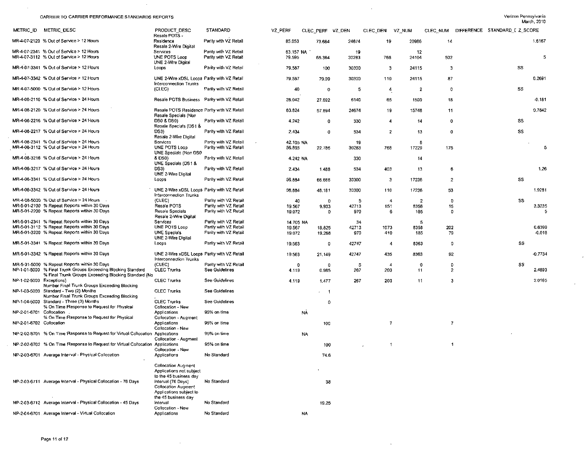$\sim 10^7$ 

 $\sim 10^7$ 

 $\sim 100$ 

 $\mathcal{A}$ 

 $\sim 10^{-1}$ 

| METRIC ID METRIC DESC                                                                                         | PRODUCT DESC                                                                | STANDARD                                       | VZ PERF   | CLEC PERF VZ_DEN |       | CLEC DEN            | VZ_NUM         |                     | CLEC_NUM DIFFERENCE STANDARD_I Z SCORE |           |
|---------------------------------------------------------------------------------------------------------------|-----------------------------------------------------------------------------|------------------------------------------------|-----------|------------------|-------|---------------------|----------------|---------------------|----------------------------------------|-----------|
| MR-4-07-2120 % Out of Service > 12 Hours                                                                      | Resale POTS -<br>Residence                                                  | Parity with VZ Retail                          | 85.053    | 73.684           | 24674 | 19                  | 20986          | 14                  |                                        | 1.6167    |
|                                                                                                               | Resale 2-Wire Digital                                                       |                                                |           |                  |       |                     |                |                     |                                        |           |
| MR-4-07-2341 % Out of Service > 12 Hours<br>MR-4-07-3112 % Out of Service > 12 Hours                          | Services<br>UNE POTS Loop                                                   | Parity with VZ Retail<br>Parity with VZ Retail | 63.157 NA |                  | 19    |                     | 12             |                     |                                        | 5         |
|                                                                                                               | UNE 2-Wire Digital                                                          |                                                | 79.595    | 65.364           | 30283 | 768                 | 24104          | 502                 |                                        |           |
| MR-4-07-3341 % Out of Service > 12 Hours                                                                      | Loops                                                                       | Parity with VZ Retail                          | 79.587    | 100              | 30300 | $\ddot{\mathbf{3}}$ | 24115          | -3                  | SS                                     |           |
| MR-4-07-3342 % Out of Service > 12 Hours                                                                      | UNE 2-Wire xDSL Loops Parity with VZ Retail<br>Interconnection Trunks       |                                                | 79.587    | 79.09            | 30300 | 110                 | 24115          | 87                  |                                        | 0.2691    |
| MR-4-07-5000 % Out of Service > 12 Hours                                                                      | (CLEC)                                                                      | Parity with VZ Retail                          | 40        | O                | 5     | 4                   | 2              | $\overline{0}$      | SS                                     |           |
| MR-4-08-2110 % Out of Service > 24 Hours                                                                      | Resale POTS Business Parity with VZ Retail                                  |                                                | 26.042    | 27.692           | 6140  | 65                  | 1599           | 18                  |                                        | $-0.181$  |
| MR-4-08-2120 % Out of Service > 24 Hours                                                                      | Resale POTS Residence Parity with VZ Retail<br>Resale Specials (Non         |                                                | 63.824    | 57.894           | 24674 | 19                  | 15748          | 11                  |                                        | 0.7842    |
| MR-4-08-2216 % Out of Service > 24 Hours                                                                      | DS0 & DS0)<br>Resale Specials (DS1 &                                        | Parity with VZ Retail                          | 4.242     | 0                | 330   | 4                   | 14             | $\overline{0}$      | <b>SS</b>                              |           |
| MR-4-08-2217 % Out of Service > 24 Hours                                                                      | DS3)<br>Resale 2-Wire Digital                                               | Parity with VZ Retail                          | 2.434     | 0                | 534   | $\overline{2}$      | 13             | $\circ$             | SS                                     |           |
| MR-4-08-2341 % Out of Service > 24 Hours                                                                      | Services                                                                    | Parity with VZ Retail                          | 42.105 NA |                  | 19    |                     | 8              |                     |                                        |           |
| MR-4-08-3112 % Out of Service > 24 Hours                                                                      | UNE POTS Loop<br>UNE Specials (Non DS0                                      | Parity with VZ Retail                          | 56.893    | 22.786           | 30283 | 768                 | 17229          | 175                 |                                        | 5         |
| MR-4-08-3216 % Out of Service > 24 Hours                                                                      | & DS0)<br>UNE Specials (DS1 &                                               | Parity with VZ Retail                          | 4.242 NA  |                  | 330   |                     | 14             |                     |                                        |           |
| MR-4-08-3217 % Out of Service > 24 Hours                                                                      | DS3)<br>UNE 2-Wire Digital                                                  | Parity with VZ Retail                          | 2.434     | 1.488            | 534   | 403                 | 13             | 6                   |                                        | 1.26      |
| MR-4-08-3341 % Out of Service > 24 Hours                                                                      | $-000S$                                                                     | Parity with VZ Retail                          | 56,884    | 66.666           | 30300 | 3                   | 17236          | $\mathbf{2}$        | SS                                     |           |
| MR-4-08-3342 % Out of Service > 24 Hours                                                                      | UNE 2-Wire xDSL Loops Parity with VZ Retail<br>Interconnection Trunks       |                                                | 56.884    | 48.181           | 30300 | 110                 | 17236          | 53                  |                                        | 1.9281    |
| MR-4-08-5000 % Out of Service > 24 Hours                                                                      | (CLEC)                                                                      | Parity with VZ Retail                          | 40        | Ð                | -5    | -4                  | $\overline{2}$ | $\mathbf{0}$        | SS                                     |           |
| MR-5-01-2100 % Repeat Reports within 30 Days                                                                  | Resale POTS                                                                 | Parity with VZ Retail                          | 19.567    | 9.933            | 42713 | 151                 | 8358           | 15                  |                                        | 3.3235    |
| MR-5-01-2200 % Repeat Reports within 30 Days                                                                  | Resale Specials<br>Resale 2-Wire Digital                                    | Parity with VZ Retail                          | 19.072    | 0                | 970   | -6                  | 185            | $\mathbf 0$         |                                        | -5        |
| MR-5-01-2341 % Repeat Reports within 30 Days                                                                  | Services                                                                    | Parity with VZ Retail                          | 14,705 NA |                  | 34    |                     | 5              |                     |                                        |           |
| MR-5-01-3112 % Repeat Reports within 30 Days<br>MR-5-01-3200 % Repeat Reports within 30 Days                  | UNE POTS Loop                                                               | Parity with VZ Retail<br>Parity with VZ Retail | 19.567    | 18.825           | 42713 | 1073                | 8358           | 202                 |                                        | 0.6399    |
|                                                                                                               | UNE Specials<br>UNE 2-Wire Digital                                          |                                                | 19,072    | 19.268           | 970   | 410                 | 185            | 79                  |                                        | $-0.016$  |
| MR-5-01-3341 % Repeat Reports within 30 Days                                                                  | Loops                                                                       | Parity with VZ Retail                          | 19.563    | 0                | 42747 | $\overline{4}$      | 8363           | $\mathbf{0}$        | SS.                                    |           |
| MR-5-01-3342 % Repeal Reports within 30 Days                                                                  | UNE 2-Wire xDSL Loops Parity with VZ Retail<br>Interconnection Trunks       |                                                | 19.563    | 21,149           | 42747 | 435                 | 8363           | 92                  |                                        | $-0.7734$ |
| MR-5-01-5000 % Repeat Reports within 30 Days<br>NP-1-01-5000 % Final Trunk Groups Exceeding Blocking Standard | (CLEC)<br><b>CLEC Trunks</b>                                                | Parity with VZ Retail<br>See Guidelines        | -0        | 0                | 5     | $\overline{4}$      | 0<br>11        | 0<br>$\overline{2}$ | SS.                                    | 2.4893    |
| % Final Trunk Groups Exceeding Blocking Standard (No                                                          |                                                                             |                                                | 4.119     | 0.985            | 267   | 203                 |                |                     |                                        |           |
| NP-1-02-5000 Exceptions)<br>Number Final Trunk Groups Exceeding Blocking                                      | <b>CLEC Trunks</b>                                                          | See Guidelines                                 | 4.119     | 1.477            | 267   | 203                 | 11             | 3                   |                                        | 2.0165    |
| NP-1-03-5000 Standard - Two (2) Months<br>Number Final Trunk Groups Exceeding Blocking                        | <b>CLEC Trunks</b>                                                          | See Guidelines                                 |           | - 1<br>$\sim$    |       |                     |                |                     |                                        |           |
| NP-1-04-5000 Standard - Three (3) Months<br>% On Time Response to Request for Physical                        | <b>CLEC Trunks</b><br>Collocation - New                                     | See Guidelines                                 |           | $\circ$          |       |                     |                |                     |                                        |           |
| NP-2-01-6701 Collocation<br>% On Time Response to Request for Physical                                        | Applications<br>Collocation - Augment                                       | 95% on time                                    |           | <b>NA</b>        |       |                     |                |                     |                                        |           |
| NP-2-01-6702 Collocation                                                                                      | Applications<br>Collocation - New                                           | 95% on time                                    |           | 100              |       | $\overline{7}$      |                | $\overline{7}$      |                                        |           |
| NP-2-02-6701 % On Time Response to Request for Virtual Collocation Applications                               | Collocation - Augment                                                       | 95% on time                                    |           | NA               |       |                     |                |                     |                                        |           |
| NP-2-02-6702 % On Time Response to Request for Virtual Collocation                                            | Applications<br>Collocation - New                                           | 95% on time                                    |           | 100              |       |                     |                | $\mathbf{1}$        |                                        |           |
| NP-2-03-6701 Average Interval - Physical Collocation                                                          | Applications                                                                | No Standard                                    |           | 74.6             |       |                     |                |                     |                                        |           |
|                                                                                                               | <b>Collocation Augment</b><br>Applications not subject                      |                                                |           |                  |       |                     |                |                     |                                        |           |
|                                                                                                               | to the 45 business day                                                      | No Standard                                    |           |                  |       |                     |                |                     |                                        |           |
| NP-2-03-6711 Average Interval - Physical Collocation - 76 Days                                                | interval (76 Days)<br><b>Collocation Augment</b><br>Applications subject to |                                                |           | 38               |       |                     |                |                     |                                        |           |
|                                                                                                               | the 45 business day                                                         |                                                |           |                  |       |                     |                |                     |                                        |           |
| NP-2-03-6712 Average Interval - Physical Collocation - 45 Davs                                                | interval<br>Collocation - New                                               | No Standard                                    |           | 19.25            |       |                     |                |                     |                                        |           |
| NP-2-04-6701 Average Interval - Virtual Collocation                                                           | Applications                                                                | No Standard                                    |           | NA               |       |                     |                |                     |                                        |           |

 $\sim 100$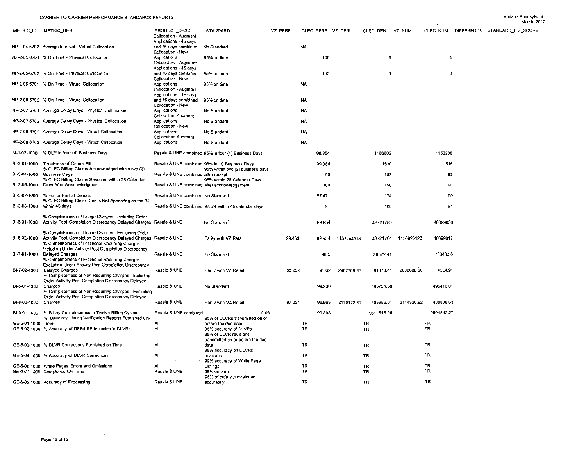|                      |                                                                                                                                                                                                                                    |                                                                     |                                                                                                           |         |                  |        |            |                        |            |                 |   | March, 2                      |
|----------------------|------------------------------------------------------------------------------------------------------------------------------------------------------------------------------------------------------------------------------------|---------------------------------------------------------------------|-----------------------------------------------------------------------------------------------------------|---------|------------------|--------|------------|------------------------|------------|-----------------|---|-------------------------------|
|                      | METRIC ID METRIC DESC                                                                                                                                                                                                              | PRODUCT DESC<br>Collocation - Augment                               | STANDARD                                                                                                  | VZ PERF | CLEC PERF VZ DEN |        |            | CLEC DEN               | VZ NUM     | CLEC NUM        |   | DIFFERENCE STANDARD I Z SCORE |
|                      | NP-2-04-6702 Average Interval - Virtual Collocation                                                                                                                                                                                | Applications - 45 days<br>and 76 days combined<br>Collocation - New | No Standard                                                                                               |         | <b>NA</b>        |        |            |                        |            |                 |   |                               |
|                      | NP-2-05-6701 % On Time - Physical Collocation                                                                                                                                                                                      | Applications<br>Collocation - Augment                               | 95% on time                                                                                               |         |                  | 100    |            | 5                      |            |                 | 5 |                               |
|                      | NP-2-05-6702 % On Time - Physical Collocation                                                                                                                                                                                      | Applications - 45 days<br>and 76 days combined<br>Collocation - New | 95% on time                                                                                               |         |                  | 100    |            | 6                      |            |                 | 6 |                               |
|                      | NP-2-06-6701 % On Time - Virtual Collocation                                                                                                                                                                                       | Applications<br>Collocation - Augment                               | 95% on time                                                                                               |         | NA               |        |            |                        |            |                 |   |                               |
|                      | NP-2-06-6702 % On Time - Virtual Collocation                                                                                                                                                                                       | Applications - 45 days<br>and 76 days combined<br>Collocation - New | 95% on time                                                                                               |         | NA               |        |            |                        |            |                 |   |                               |
|                      | NP-2-07-6701 Average Delay Days - Physical Collocation                                                                                                                                                                             | Applications<br><b>Collocation Augment</b>                          | No Standard                                                                                               |         | NA               |        |            |                        |            |                 |   |                               |
|                      | NP-2-07-6702 Average Delay Days - Physical Collocation                                                                                                                                                                             | Applications<br>Collocation - New                                   | No Standard                                                                                               |         | NA               |        |            |                        |            |                 |   |                               |
|                      | NP-2-08-6701 Average Delay Days - Virtual Collocation                                                                                                                                                                              | Applications<br><b>Collocation Augment</b>                          | No Standard                                                                                               |         | <b>NA</b>        |        |            |                        |            |                 |   |                               |
|                      | NP-2-08-6702 Average Delay Days - Virtual Collocation                                                                                                                                                                              | Applications                                                        | No Standard                                                                                               |         | <b>NA</b>        |        |            |                        |            |                 |   |                               |
|                      | BI-1-02-1000 % DUF in four (4) Business Days                                                                                                                                                                                       |                                                                     | Resale & UNE combined 95% in four (4) Business Days                                                       |         |                  | 98.854 |            | 1166602                |            | 1153238         |   |                               |
|                      | BI-2-01-1000 Timeliness of Carrier Bill<br>% CLEC Billing Claims Acknowledged within two (2)                                                                                                                                       |                                                                     | Resale & UNE combined 98% in 10 Business Days<br>95% within two (2) business days                         |         |                  | 99.084 |            | 1530                   |            | 1516            |   |                               |
| BI-3-04-1000         | <b>Business Davs</b><br>% CLEC Billing Claims Resolved within 28 Calendar                                                                                                                                                          | Resale & UNE combined after receipt                                 | 95% within 28 Calendar Days                                                                               |         |                  | 100    |            | 183                    |            | 183             |   |                               |
|                      | BI-3-05-1000 Days After Acknowledgment                                                                                                                                                                                             | Resale & UNE combined after acknowledgement                         |                                                                                                           |         |                  | 100    |            | 190                    |            | 190             |   |                               |
| BI-3 07 1000         | % Full or Partial Denials<br>% CLEC Billing Claim Credits Not Appearing on the Bill                                                                                                                                                | Resale & UNE combined No Standard                                   |                                                                                                           |         |                  | 57.471 |            | 174                    |            | 100             |   |                               |
| BI-3-08-1000         | within 45 days                                                                                                                                                                                                                     |                                                                     | Resale & UNE combined 97.5% within 45 calendar days                                                       |         |                  | 91     |            | 100                    |            | 91              |   |                               |
| BI-6-01-1000         | % Completeness of Usage Charges - Including Order<br>Activity Post Completion Discrepancy Delayed Charges Resale & UNE                                                                                                             |                                                                     | No Standard                                                                                               |         |                  | 99.954 |            | 48721783               |            | 48699636        |   |                               |
| BI-6-02-1000         | % Completeness of Usage Charges - Excluding Order<br>Activity Post Completion Discrepancy Delayed Charges Resale & UNE<br>% Completeness of Fractional Recurring Charges -<br>Including Order Activity Post Completion Discrepancy |                                                                     | Parity with VZ Retail                                                                                     | 99.453  |                  | 99.954 | 1157244518 | 48721764               | 1150923120 | 48699617        |   |                               |
| BI-7-01-1000         | Delaved Charges<br>% Completeness of Fractional Recurring Charges -<br>Excluding Order Activity Post Completion Discrepancy                                                                                                        | Resale & UNE                                                        | No Standard                                                                                               |         |                  | 90.5   |            | 86572.41               |            | 78348.58        |   |                               |
| BI-7-02-1000         | Delaved Charges<br>% Completeness of Non-Recurring Charges - Including<br>Order Activity Post Completion Discrepancy Delayed                                                                                                       | Resale & UNE                                                        | Parity with VZ Retail                                                                                     | 88.202  |                  | 91.62  | 2957608.95 | 81373.41               | 2608688.66 | 74554.91        |   |                               |
| BI-8-01-1000         | Charges<br>% Completeness of Non-Recurring Charges - Excluding<br>Order Activity Post Completion Discrepancy Delayed                                                                                                               | Resale & UNE                                                        | No Standard                                                                                               |         |                  | 99.936 |            | 495724.58              |            | 495410.01       |   |                               |
| BI-8-02-1000 Charges |                                                                                                                                                                                                                                    | Resale & UNE                                                        | Parity with VZ Retail                                                                                     | 97.024  |                  | 99.963 | 2179172.69 | 488986.01              | 2114320.92 | 488808.63       |   |                               |
|                      | Bf-9-01-1000 % Billing Completeness in Twelve Billing Cycles<br>% Directory Listing Verification Reports Furnished On-                                                                                                             | Resale & UNE combined                                               | 0.96<br>95% of DLVRs transmitted on or                                                                    |         |                  | 99.898 |            | 9614645.25             |            | 9604842.27      |   |                               |
| GE-5-01-1000 Time    | GE-5-02-1000 % Accuracy of DSR/LSR Inclusion in DLVRs                                                                                                                                                                              | All<br>All                                                          | before the due date<br>98% accuracy of DLVRs<br>98% of DLVR revisions<br>transmitted on or before the due |         | TR<br>TR         |        |            | <b>TR</b><br><b>TR</b> |            | TR<br><b>TR</b> |   |                               |
|                      | GE-5-03-1000 % DLVR Corrections Furnished on Time                                                                                                                                                                                  | All                                                                 | date<br>98% accuracy on DLVRs                                                                             |         | TR               |        |            | <b>TR</b>              |            | TR              |   |                               |
|                      | GE-5-04-1000 % Accuracy of DLVR Corrections                                                                                                                                                                                        | All                                                                 | revisions<br>99% accuracy of White Page                                                                   |         | TR               |        |            | TR                     |            | TR.             |   |                               |
|                      | GE-5-05-1000 White Pages Errors and Omissions                                                                                                                                                                                      | ΑII<br>Resale & UNE                                                 | Listings                                                                                                  |         | TR<br>TR         |        |            | TR                     |            | TR<br>TR.       |   |                               |
|                      | GE-6-01-1000 Completion On Time                                                                                                                                                                                                    | Resale & UNE                                                        | 95% on time<br>98% of orders provisioned                                                                  |         |                  |        |            | ΤR                     |            | <b>TR</b>       |   |                               |
|                      | GE-6-02-1000 Accuracy of Processing                                                                                                                                                                                                |                                                                     | accurately                                                                                                |         | <b>TR</b>        |        |            | TR.                    |            |                 |   |                               |

 $\sim 100$  km  $^{-1}$ 

 $\mathcal{L}^{\mathcal{L}}(\mathcal{A})$  .

 $\mathcal{L}^{\text{max}}_{\text{max}}$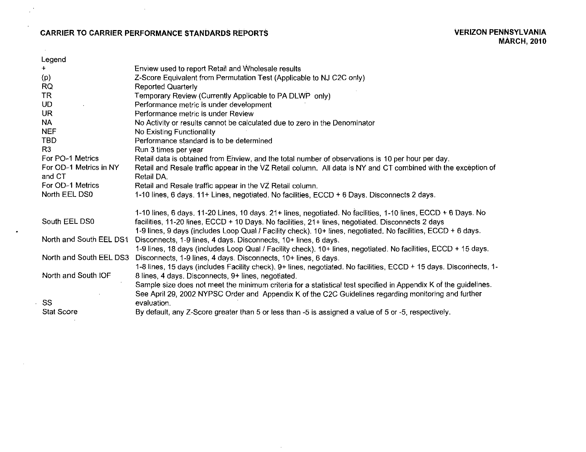# CARRIER TO CARRIER PERFORMANCE STANDARDS REPORTS VERIZON PENNSYLVANIA

 $\sim 10^{-1}$ 

 $\sim$  $\mathcal{L}$ 

 $\sim 10^{-1}$ 

| Enview used to report Retail and Wholesale results<br>$+$<br>Z-Score Equivalent from Permutation Test (Applicable to NJ C2C only)<br>(p)<br><b>RQ</b><br><b>Reported Quarterly</b><br><b>TR</b><br>Temporary Review (Currently Applicable to PA DLWP only)<br>UD<br>Performance metric is under development<br>UR.<br>Performance metric is under Review |
|----------------------------------------------------------------------------------------------------------------------------------------------------------------------------------------------------------------------------------------------------------------------------------------------------------------------------------------------------------|
|                                                                                                                                                                                                                                                                                                                                                          |
|                                                                                                                                                                                                                                                                                                                                                          |
|                                                                                                                                                                                                                                                                                                                                                          |
|                                                                                                                                                                                                                                                                                                                                                          |
|                                                                                                                                                                                                                                                                                                                                                          |
|                                                                                                                                                                                                                                                                                                                                                          |
| <b>NA</b><br>No Activity or results cannot be calculated due to zero in the Denominator                                                                                                                                                                                                                                                                  |
| <b>NEF</b><br>No Existing Functionality                                                                                                                                                                                                                                                                                                                  |
| <b>TBD</b><br>Performance standard is to be determined                                                                                                                                                                                                                                                                                                   |
| R <sub>3</sub><br>Run 3 times per year                                                                                                                                                                                                                                                                                                                   |
| For PO-1 Metrics<br>Retail data is obtained from Enview, and the total number of observations is 10 per hour per day.                                                                                                                                                                                                                                    |
| For OD-1 Metrics in NY<br>Retail and Resale traffic appear in the VZ Retail column. All data is NY and CT combined with the exception of                                                                                                                                                                                                                 |
| and CT<br>Retail DA.                                                                                                                                                                                                                                                                                                                                     |
| For OD-1 Metrics<br>Retail and Resale traffic appear in the VZ Retail column.                                                                                                                                                                                                                                                                            |
| North EEL DS0<br>1-10 lines, 6 days. 11+ Lines, negotiated. No facilities, ECCD + 6 Days. Disconnects 2 days.                                                                                                                                                                                                                                            |
|                                                                                                                                                                                                                                                                                                                                                          |
| 1-10 lines, 6 days. 11-20 Lines, 10 days. 21+ lines, negotiated. No facilities, 1-10 lines, ECCD + 6 Days. No                                                                                                                                                                                                                                            |
| South EEL DS0<br>facilities, 11-20 lines, ECCD + 10 Days. No facilities, 21+ lines, negotiated. Disconnects 2 days                                                                                                                                                                                                                                       |
| 1-9 lines, 9 days (includes Loop Qual / Facility check). 10+ lines, negotiated. No facilities, ECCD + 6 days.<br>North and South EEL DS1                                                                                                                                                                                                                 |
| Disconnects, 1-9 lines, 4 days. Disconnects, 10+ lines, 6 days.                                                                                                                                                                                                                                                                                          |
| 1-9 lines, 18 days (includes Loop Qual / Facility check). 10+ lines, negotiated. No facilities, ECCD + 15 days.<br>North and South EEL DS3                                                                                                                                                                                                               |
| Disconnects, 1-9 lines, 4 days. Disconnects, 10+ lines, 6 days.                                                                                                                                                                                                                                                                                          |
| 1-8 lines, 15 days (includes Facility check). 9+ lines, negotiated. No facilities, ECCD + 15 days. Discorinects, 1-<br>North and South IOF                                                                                                                                                                                                               |
| 8 lines, 4 days. Disconnects, 9+ lines, negotiated.                                                                                                                                                                                                                                                                                                      |
| Sample size does not meet the minimum criteria for a statistical test specified in Appendix K of the guidelines.                                                                                                                                                                                                                                         |
| See April 29, 2002 NYPSC Order and Appendix K of the C2C Guidelines regarding monitoring and further<br>SS                                                                                                                                                                                                                                               |
| evaluation.<br><b>Stat Score</b>                                                                                                                                                                                                                                                                                                                         |
| By default, any Z-Score greater than 5 or less than -5 is assigned a value of 5 or -5, respectively.                                                                                                                                                                                                                                                     |